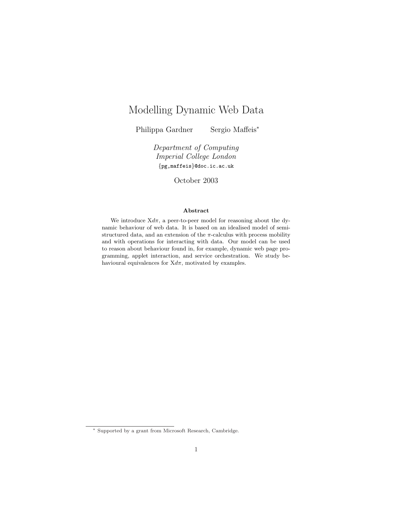# Modelling Dynamic Web Data

Philippa Gardner Sergio Maffeis<sup>∗</sup>

Department of Computing Imperial College London {pg,maffeis}@doc.ic.ac.uk

October 2003

#### Abstract

We introduce  $Xd\pi$ , a peer-to-peer model for reasoning about the dynamic behaviour of web data. It is based on an idealised model of semistructured data, and an extension of the  $\pi$ -calculus with process mobility and with operations for interacting with data. Our model can be used to reason about behaviour found in, for example, dynamic web page programming, applet interaction, and service orchestration. We study behavioural equivalences for  $Xd\pi$ , motivated by examples.

<sup>∗</sup> Supported by a grant from Microsoft Research, Cambridge.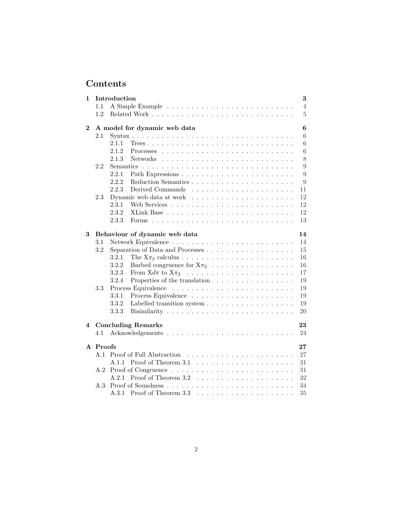# Contents

| 1        |          | Introduction                                                                     | 3              |
|----------|----------|----------------------------------------------------------------------------------|----------------|
|          | 1.1      |                                                                                  | $\overline{4}$ |
|          | 1.2      |                                                                                  | $\overline{5}$ |
| $\bf{2}$ |          | A model for dynamic web data                                                     | $\bf{6}$       |
|          | 2.1      |                                                                                  | 6              |
|          |          | 2.1.1                                                                            | 6              |
|          |          | 2.1.2<br><b>Processes</b>                                                        | $\,6$          |
|          |          | 2.1.3                                                                            | 8              |
|          | 2.2      | Semantics                                                                        | 9              |
|          |          | 2.2.1                                                                            | 9              |
|          |          | 2.2.2                                                                            | 9              |
|          |          | 2.2.3                                                                            | 11             |
|          | 2.3      |                                                                                  | 12             |
|          |          | 2.3.1                                                                            | 12             |
|          |          | 2.3.2                                                                            | 12             |
|          |          | 2.3.3                                                                            | 13             |
| 3        |          | Behaviour of dynamic web data                                                    | 14             |
|          | 3.1      |                                                                                  | 14             |
|          | 3.2      |                                                                                  | 15             |
|          |          | 3.2.1                                                                            | 16             |
|          |          | Barbed congruence for $X\pi_2 \ldots \ldots \ldots \ldots \ldots$<br>3.2.2       | 16             |
|          |          | 3.2.3<br>From $Xd\pi$ to $X\pi_2$                                                | 17             |
|          |          | Properties of the translation<br>3.2.4                                           | 19             |
|          | 3.3      |                                                                                  | 19             |
|          |          | 3.3.1                                                                            | 19             |
|          |          | 3.3.2                                                                            | 19             |
|          |          | 3.3.3                                                                            | 20             |
| 4        |          | <b>Concluding Remarks</b>                                                        | 23             |
|          | 4.1      |                                                                                  | 24             |
|          | A Proofs |                                                                                  | ${\bf 27}$     |
|          | A.1      | Proof of Full Abstraction                                                        | 27             |
|          |          | A.1.1                                                                            | 31             |
|          | A.2      |                                                                                  | 31             |
|          |          | Proof of Theorem 3.2 $\ldots \ldots \ldots \ldots \ldots \ldots \ldots$<br>A.2.1 | 32             |
|          | A.3      |                                                                                  | 34             |
|          |          | A.3.1 Proof of Theorem 3.3 $\ldots \ldots \ldots \ldots \ldots \ldots$           | 35             |
|          |          |                                                                                  |                |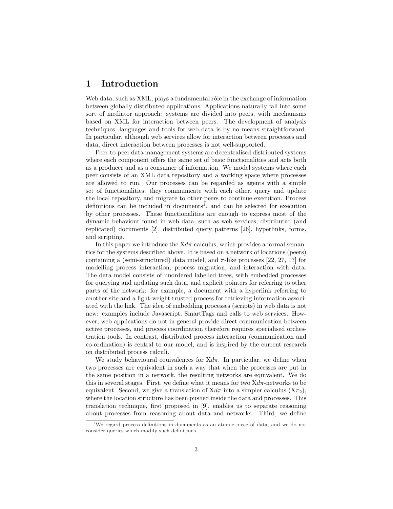# 1 Introduction

Web data, such as XML, plays a fundamental rôle in the exchange of information between globally distributed applications. Applications naturally fall into some sort of mediator approach: systems are divided into peers, with mechanisms based on XML for interaction between peers. The development of analysis techniques, languages and tools for web data is by no means straightforward. In particular, although web services allow for interaction between processes and data, direct interaction between processes is not well-supported.

Peer-to-peer data management systems are decentralised distributed systems where each component offers the same set of basic functionalities and acts both as a producer and as a consumer of information. We model systems where each peer consists of an XML data repository and a working space where processes are allowed to run. Our processes can be regarded as agents with a simple set of functionalities; they communicate with each other, query and update the local repository, and migrate to other peers to continue execution. Process definitions can be included in documents<sup>1</sup>, and can be selected for execution by other processes. These functionalities are enough to express most of the dynamic behaviour found in web data, such as web services, distributed (and replicated) documents [2], distributed query patterns [26], hyperlinks, forms, and scripting.

In this paper we introduce the  $Xd\pi$ -calculus, which provides a formal semantics for the systems described above. It is based on a network of locations (peers) containing a (semi-structured) data model, and  $\pi$ -like processes [22, 27, 17] for modelling process interaction, process migration, and interaction with data. The data model consists of unordered labelled trees, with embedded processes for querying and updating such data, and explicit pointers for referring to other parts of the network: for example, a document with a hyperlink referring to another site and a light-weight trusted process for retrieving information associated with the link. The idea of embedding processes (scripts) in web data is not new: examples include Javascript, SmartTags and calls to web services. However, web applications do not in general provide direct communication between active processes, and process coordination therefore requires specialised orchestration tools. In contrast, distributed process interaction (communication and co-ordination) is central to our model, and is inspired by the current research on distributed process calculi.

We study behavioural equivalences for  $Xd\pi$ . In particular, we define when two processes are equivalent in such a way that when the processes are put in the same position in a network, the resulting networks are equivalent. We do this in several stages. First, we define what it means for two  $Xd\pi$ -networks to be equivalent. Second, we give a translation of  $X d\pi$  into a simpler calculus  $(X\pi_2)$ , where the location structure has been pushed inside the data and processes. This translation technique, first proposed in [9], enables us to separate reasoning about processes from reasoning about data and networks. Third, we define

<sup>&</sup>lt;sup>1</sup>We regard process definitions in documents as an atomic piece of data, and we do not consider queries which modify such definitions.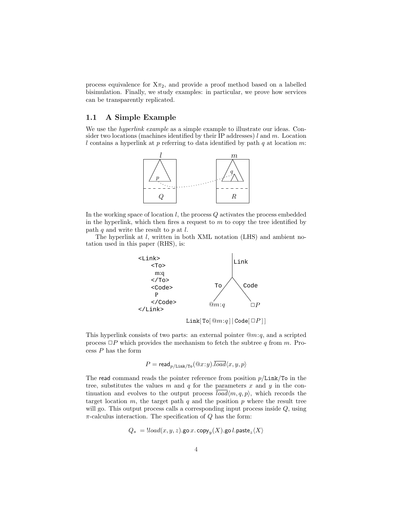process equivalence for  $X_{\pi_2}$ , and provide a proof method based on a labelled bisimulation. Finally, we study examples: in particular, we prove how services can be transparently replicated.

## 1.1 A Simple Example

We use the *hyperlink example* as a simple example to illustrate our ideas. Consider two locations (machines identified by their IP addresses)  $l$  and  $m$ . Location l contains a hyperlink at  $p$  referring to data identified by path  $q$  at location  $m$ :



In the working space of location  $l$ , the process  $Q$  activates the process embedded in the hyperlink, which then fires a request to  $m$  to copy the tree identified by path  $q$  and write the result to  $p$  at  $l$ .

The hyperlink at l, written in both XML notation (LHS) and ambient notation used in this paper (RHS), is:



This hyperlink consists of two parts: an external pointer  $@m:q$ , and a scripted process  $\Box P$  which provides the mechanism to fetch the subtree q from m. Pro- $\mathrm{cess}\;P$  has the form

$$
P = \text{read}_{p/\text{Link}/\text{To}}(\text{@} x \mathpunct{:} y).\overline{load}\langle x, y, p \rangle
$$

The read command reads the pointer reference from position  $p/\text{Link}/\text{To}$  in the tree, substitutes the values m and q for the parameters x and y in the continuation and evolves to the output process  $load\langle m, q, p \rangle$ , which records the target location  $m$ , the target path  $q$  and the position  $p$  where the result tree will go. This output process calls a corresponding input process inside  $Q$ , using  $\pi$ -calculus interaction. The specification of  $Q$  has the form:

$$
Q_s \; = \; !load(x,y,z).\texttt{go} \, x.\, \texttt{copy}_y(X).\texttt{go} \, l.\texttt{paste}_z\langle X \rangle
$$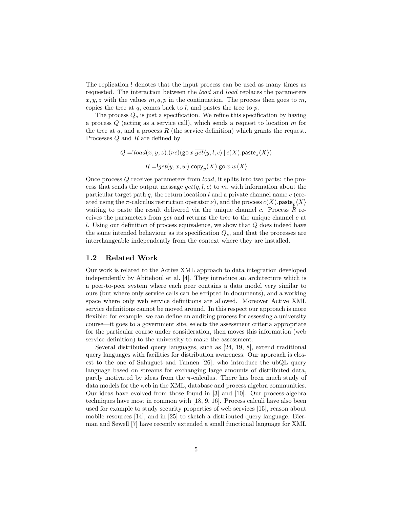The replication ! denotes that the input process can be used as many times as requested. The interaction between the load and load replaces the parameters  $x, y, z$  with the values  $m, q, p$  in the continuation. The process then goes to m, copies the tree at  $q$ , comes back to  $l$ , and pastes the tree to  $p$ .

The process  $Q_s$  is just a specification. We refine this specification by having a process Q (acting as a service call), which sends a request to location m for the tree at  $q$ , and a process  $R$  (the service definition) which grants the request. Processes Q and R are defined by

$$
Q = !load(x, y, z).(\nu c)(\texttt{go}~x.\overline{get}\langle y, l, c\rangle ~|~ c(X).\texttt{paste}_z\langle X\rangle) \\[1ex] R = !get(y, x, w).\texttt{copy}_y(X).\texttt{go}~x.\overline{w}\langle X\rangle
$$

Once process  $Q$  receives parameters from  $\overline{load}$ , it splits into two parts: the process that sends the output message  $\overline{get}\langle q, l, c \rangle$  to m, with information about the particular target path q, the return location l and a private channel name  $c$  (created using the  $\pi$ -calculus restriction operator  $\nu$ ), and the process  $c(X)$ .paste $_p\langle X\rangle$ waiting to paste the result delivered via the unique channel  $c$ . Process  $R$  receives the parameters from  $\overline{get}$  and returns the tree to the unique channel c at l. Using our definition of process equivalence, we show that Q does indeed have the same intended behaviour as its specification  $Q_s$ , and that the processes are interchangeable independently from the context where they are installed.

## 1.2 Related Work

Our work is related to the Active XML approach to data integration developed independently by Abiteboul et al. [4]. They introduce an architecture which is a peer-to-peer system where each peer contains a data model very similar to ours (but where only service calls can be scripted in documents), and a working space where only web service definitions are allowed. Moreover Active XML service definitions cannot be moved around. In this respect our approach is more flexible: for example, we can define an auditing process for assessing a university course—it goes to a government site, selects the assessment criteria appropriate for the particular course under consideration, then moves this information (web service definition) to the university to make the assessment.

Several distributed query languages, such as [24, 19, 8], extend traditional query languages with facilities for distribution awareness. Our approach is closest to the one of Sahuguet and Tannen [26], who introduce the ubQL query language based on streams for exchanging large amounts of distributed data, partly motivated by ideas from the  $\pi$ -calculus. There has been much study of data models for the web in the XML, database and process algebra communities. Our ideas have evolved from those found in [3] and [10]. Our process-algebra techniques have most in common with [18, 9, 16]. Process calculi have also been used for example to study security properties of web services [15], reason about mobile resources [14], and in [25] to sketch a distributed query language. Bierman and Sewell [7] have recently extended a small functional language for XML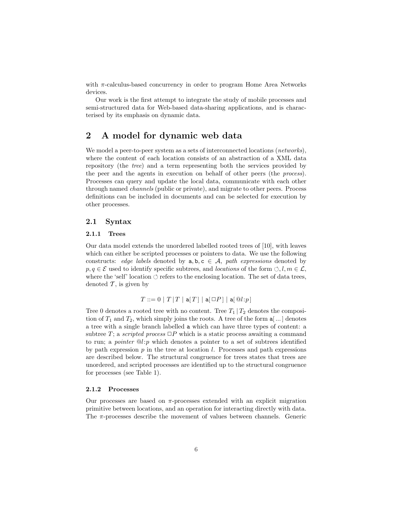with  $\pi$ -calculus-based concurrency in order to program Home Area Networks devices.

Our work is the first attempt to integrate the study of mobile processes and semi-structured data for Web-based data-sharing applications, and is characterised by its emphasis on dynamic data.

# 2 A model for dynamic web data

We model a peer-to-peer system as a sets of interconnected locations (*networks*), where the content of each location consists of an abstraction of a XML data repository (the tree) and a term representing both the services provided by the peer and the agents in execution on behalf of other peers (the process). Processes can query and update the local data, communicate with each other through named channels (public or private), and migrate to other peers. Process definitions can be included in documents and can be selected for execution by other processes.

# 2.1 Syntax

#### 2.1.1 Trees

Our data model extends the unordered labelled rooted trees of [10], with leaves which can either be scripted processes or pointers to data. We use the following constructs: edge labels denoted by  $a, b, c \in \mathcal{A}$ , path expressions denoted by  $p, q \in \mathcal{E}$  used to identify specific subtrees, and locations of the form  $\circlearrowleft, l, m \in \mathcal{L}$ , where the 'self' location  $\circlearrowleft$  refers to the enclosing location. The set of data trees, denoted  $\mathcal T$ , is given by

$$
T ::= 0 | T | T | a[T] | a[ \Box P] | a[ \textcircled{a} l : p]
$$

Tree 0 denotes a rooted tree with no content. Tree  $T_1 | T_2$  denotes the composition of  $T_1$  and  $T_2$ , which simply joins the roots. A tree of the form  $a[...]$  denotes a tree with a single branch labelled a which can have three types of content: a subtree T; a *scripted process*  $\Box P$  which is a static process awaiting a command to run; a *pointer*  $\mathcal{Q}(p)$  which denotes a pointer to a set of subtrees identified by path expression  $p$  in the tree at location  $l$ . Processes and path expressions are described below. The structural congruence for trees states that trees are unordered, and scripted processes are identified up to the structural congruence for processes (see Table 1).

#### 2.1.2 Processes

Our processes are based on  $\pi$ -processes extended with an explicit migration primitive between locations, and an operation for interacting directly with data. The  $\pi$ -processes describe the movement of values between channels. Generic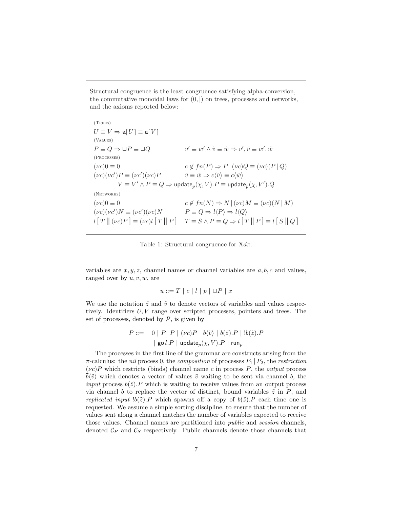Structural congruence is the least congruence satisfying alpha-conversion, the commutative monoidal laws for  $(0, |)$  on trees, processes and networks, and the axioms reported below:

(Trees)  $U \equiv V \Rightarrow$  a[U]  $\equiv$  a[V] (Values)  $P \equiv Q \Rightarrow \Box P \equiv \Box Q$  $v' \wedge \tilde{v} \equiv \tilde{w} \Rightarrow v', \tilde{v} \equiv w', \tilde{w}$ (Processes)  $(\nu c)0 \equiv 0$   $c \notin fn(P) \Rightarrow P \mid (\nu c)Q \equiv (\nu c)(P \mid Q)$  $(\nu c)(\nu c')P \equiv (\nu c')(\nu c)P$   $\tilde{v} \equiv \tilde{w} \Rightarrow \bar{c}\langle \tilde{v} \rangle \equiv \bar{c}\langle \tilde{w} \rangle$  $V \equiv V' \land P \equiv Q \Rightarrow \text{update}_p(\chi, V) . P \equiv \text{update}_p(\chi, V') . Q$ (Networks)  $(\nu c)0 \equiv 0$  c  $\notin f n(N) \Rightarrow N \mid (\nu c)M \equiv (\nu c)(N \mid M)$  $(\nu c)(\nu c')N \equiv (\nu c')(\nu c)N$   $P \equiv Q \Rightarrow l\langle P \rangle \Rightarrow l\langle Q \rangle$  $l[T \mid (\nu c)P] \equiv (\nu c)l[T \mid P]$   $T \equiv S \wedge P \equiv Q \Rightarrow l[T \mid P] \equiv l[S \mid Q]$ 

Table 1: Structural congruence for  $Xd\pi$ .

variables are  $x, y, z$ , channel names or channel variables are  $a, b, c$  and values, ranged over by  $u, v, w$ , are

$$
u ::= T \mid c \mid l \mid p \mid \Box P \mid x
$$

We use the notation  $\tilde{z}$  and  $\tilde{v}$  to denote vectors of variables and values respectively. Identifiers U, V range over scripted processes, pointers and trees. The set of processes, denoted by  $P$ , is given by

$$
P ::= \quad 0 \mid P \mid P \mid (\nu c)P \mid \overline{b}\langle \tilde{v} \rangle \mid b(\tilde{z}).P \mid !b(\tilde{z}).P
$$

$$
\mid \text{go } l.P \mid \text{update}_p(\chi, V).P \mid \text{run}_p
$$

The processes in the first line of the grammar are constructs arising from the  $\pi$ -calculus: the *nil* process 0, the *composition* of processes  $P_1 | P_2$ , the restriction  $(\nu c)P$  which restricts (binds) channel name c in process P, the *output* process  $b\langle \tilde{v} \rangle$  which denotes a vector of values  $\tilde{v}$  waiting to be sent via channel b, the *input* process  $b(\tilde{z})$ . P which is waiting to receive values from an output process via channel b to replace the vector of distinct, bound variables  $\tilde{z}$  in P, and replicated input  $(b(\tilde{z})\cdot P$  which spawns of a copy of  $b(\tilde{z})\cdot P$  each time one is requested. We assume a simple sorting discipline, to ensure that the number of values sent along a channel matches the number of variables expected to receive those values. Channel names are partitioned into public and session channels, denoted  $\mathcal{C}_P$  and  $\mathcal{C}_S$  respectively. Public channels denote those channels that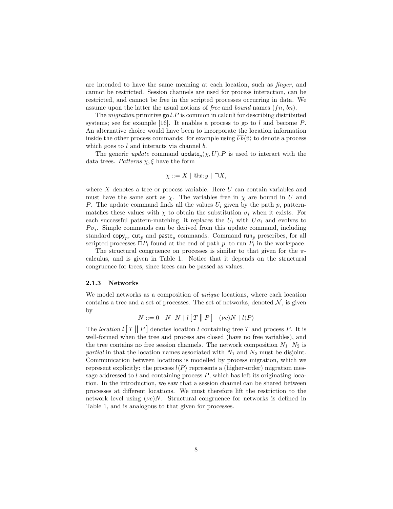are intended to have the same meaning at each location, such as finger, and cannot be restricted. Session channels are used for process interaction, can be restricted, and cannot be free in the scripted processes occurring in data. We assume upon the latter the usual notions of free and bound names  $(fn, bn)$ .

The *migration* primitive go  $l.P$  is common in calculi for describing distributed systems; see for example [16]. It enables a process to go to  $l$  and become  $P$ . An alternative choice would have been to incorporate the location information inside the other process commands: for example using  $\overline{l \cdot b} \langle \tilde{v} \rangle$  to denote a process which goes to  $l$  and interacts via channel  $b$ .

The generic *update* command **update**<sub>p</sub> $(\chi, U)$ . P is used to interact with the data trees. Patterns  $\chi, \xi$  have the form

$$
\chi ::= X \mid \textcircled{0} x : y \mid \square X,
$$

where X denotes a tree or process variable. Here U can contain variables and must have the same sort as  $\chi$ . The variables free in  $\chi$  are bound in U and P. The update command finds all the values  $U_i$  given by the path p, patternmatches these values with  $\chi$  to obtain the substitution  $\sigma_i$  when it exists. For each successful pattern-matching, it replaces the  $U_i$  with  $U\sigma_i$  and evolves to  $P\sigma_i$ . Simple commands can be derived from this update command, including standard copy<sub>p</sub>, cut<sub>p</sub> and paste<sub>p</sub> commands. Command run<sub>p</sub> prescribes, for all scripted processes  $\Box P_i$  found at the end of path p, to run  $P_i$  in the workspace.

The structural congruence on processes is similar to that given for the  $\pi$ calculus, and is given in Table 1. Notice that it depends on the structural congruence for trees, since trees can be passed as values.

#### 2.1.3 Networks

We model networks as a composition of *unique* locations, where each location contains a tree and a set of processes. The set of networks, denoted  $\mathcal{N}$ , is given by

$$
N ::= 0 | N | N | l [T || P] | (\nu c) N | l \langle P \rangle
$$

The location  $l[T || P ]$  denotes location l containing tree T and process P. It is well-formed when the tree and process are closed (have no free variables), and the tree contains no free session channels. The network composition  $N_1 | N_2$  is partial in that the location names associated with  $N_1$  and  $N_2$  must be disjoint. Communication between locations is modelled by process migration, which we represent explicitly: the process  $l\langle P \rangle$  represents a (higher-order) migration message addressed to  $l$  and containing process  $P$ , which has left its originating location. In the introduction, we saw that a session channel can be shared between processes at different locations. We must therefore lift the restriction to the network level using  $(\nu c)N$ . Structural congruence for networks is defined in Table 1, and is analogous to that given for processes.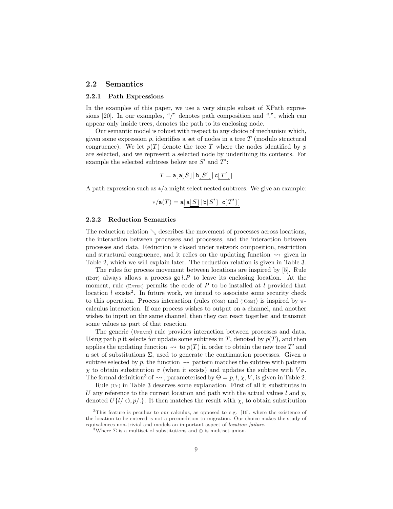# 2.2 Semantics

#### 2.2.1 Path Expressions

In the examples of this paper, we use a very simple subset of XPath expressions [20]. In our examples, "/" denotes path composition and ".", which can appear only inside trees, denotes the path to its enclosing node.

Our semantic model is robust with respect to any choice of mechanism which, given some expression p, identifies a set of nodes in a tree  $T$  (modulo structural congruence). We let  $p(T)$  denote the tree T where the nodes identified by p are selected, and we represent a selected node by underlining its contents. For example the selected subtrees below are  $S'$  and  $T'$ :

$$
T = \mathsf{a}[\,\mathsf{a}[\,S\,]\,|\,\mathsf{b}[\,S^\prime\,]\,|\,\mathsf{c}[\,T^\prime\,]\,]
$$

A path expression such as ∗/a might select nested subtrees. We give an example:

$$
\ast/\mathsf{a}(T) = \mathsf{a}[\,\mathsf{a}[ \, S \,]\, |\,\mathsf{b}[ \, S' \,]\, |\, \mathsf{c}[ \, T' \,]\,]
$$

#### 2.2.2 Reduction Semantics

The reduction relation  $\setminus$  describes the movement of processes across locations, the interaction between processes and processes, and the interaction between processes and data. Reduction is closed under network composition, restriction and structural congruence, and it relies on the updating function  $\rightsquigarrow$  given in Table 2, which we will explain later. The reduction relation is given in Table 3.

The rules for process movement between locations are inspired by [5]. Rule  $(Exri)$  always allows a process go l. P to leave its enclosing location. At the moment, rule (ENTER) permits the code of  $P$  to be installed at  $l$  provided that location  $l$  exists<sup>2</sup>. In future work, we intend to associate some security check to this operation. Process interaction (rules  $(COM)$ ) and  $(COM)$ ) is inspired by  $\pi$ calculus interaction. If one process wishes to output on a channel, and another wishes to input on the same channel, then they can react together and transmit some values as part of that reaction.

The generic (UPDATE) rule provides interaction between processes and data. Using path p it selects for update some subtrees in T, denoted by  $p(T)$ , and then applies the updating function  $\leadsto$  to  $p(T)$  in order to obtain the new tree T' and a set of substitutions  $\Sigma$ , used to generate the continuation processes. Given a subtree selected by p, the function  $\leadsto$  pattern matches the subtree with pattern  $\chi$  to obtain substitution  $\sigma$  (when it exists) and updates the subtree with  $V\sigma$ . The formal definition<sup>3</sup> of  $\rightsquigarrow$ , parameterised by  $\Theta = p, l, \chi, V$ , is given in Table 2.

Rule (Up) in Table 3 deserves some explanation. First of all it substitutes in U any reference to the current location and path with the actual values l and  $p$ , denoted  $U\{l/\Diamond, p/\}$ . It then matches the result with  $\chi$ , to obtain substitution

<sup>&</sup>lt;sup>2</sup>This feature is peculiar to our calculus, as opposed to e.g. [16], where the existence of the location to be entered is not a precondition to migration. Our choice makes the study of equivalences non-trivial and models an important aspect of location failure.

<sup>&</sup>lt;sup>3</sup>Where  $\Sigma$  is a multiset of substitutions and  $\oplus$  is multiset union.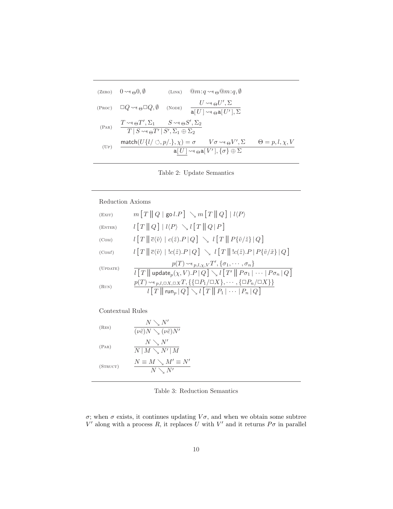|       | $(ZERO)$ $0 \rightsquigarrow 0, \emptyset$                                                                                                                     |  | $(LINK)$ $@m:q \rightsquigarrow \Theta @m:q,\emptyset$                                                                                                                    |                            |
|-------|----------------------------------------------------------------------------------------------------------------------------------------------------------------|--|---------------------------------------------------------------------------------------------------------------------------------------------------------------------------|----------------------------|
|       | $(P_{ROC})$ $\Box Q \rightsquigarrow \Theta \Box Q, \emptyset$ (NODE) –                                                                                        |  | $U \rightsquigarrow_{\mathsf{A}} U'$ , $\Sigma$<br>$\overline{\mathsf{a}[U]\rightsquigarrow_{\Theta}\mathsf{a}[U'],\Sigma}$                                               |                            |
| (PAR) | $T \rightsquigarrow \Theta T', \Sigma_1$ $S \rightsquigarrow \Theta S', \Sigma_2$<br>$\boxed{T \mid S \leadsto_{\Theta} T' \mid S', \Sigma_1 \oplus \Sigma_2}$ |  |                                                                                                                                                                           |                            |
| (UP)  |                                                                                                                                                                |  | match $(U{U \leq v, p\land \}$ , $\chi$ ) = $\sigma$ $V \sigma \rightsquigarrow_{\Theta} V'$ , $\Sigma$<br>$a[U] \rightsquigarrow \Theta a[V'], \{\sigma\} \oplus \Sigma$ | $\Theta = p, l, \gamma, V$ |

|  |  | Table 2: Update Semantics |
|--|--|---------------------------|
|--|--|---------------------------|

| Reduction Axioms |                                                                                                                                                                                       |  |
|------------------|---------------------------------------------------------------------------------------------------------------------------------------------------------------------------------------|--|
| (ExIT)           | $m[T    Q   \text{go} \, l.P] \searrow m[T    Q]   l \langle P \rangle$                                                                                                               |  |
| (ENTER)          | $l[T  Q]   l\langle P \rangle \setminus l[T  Q P]$                                                                                                                                    |  |
| (COM)            | $l[T\ \bar{c}\langle \tilde{v} \rangle   c(\tilde{z}).P Q] \setminus l[T\ P\{\tilde{v}/\tilde{z}\} Q]$                                                                                |  |
| (COM!)           | $l\,[T\,\ \,\bar{c}\langle\tilde{v}\rangle\, \,!c(\tilde{z}).P\, \,Q\,]\smile l\,[T\, \,!c(\tilde{z}).P\, \,P\{\tilde{v}/\tilde{x}\}\, \,Q\,]$                                        |  |
| (UPDATE)         | $p(T) \rightsquigarrow_{p,l,\chi,V} T', {\sigma_1, \cdots, \sigma_n}$<br>$l\,[T\,  \,$ update $_p(\chi,V).P\, \,Q\, \searrow l\,[T'\,  \,P\sigma_1\, \,\cdots\, \,P\sigma_n\, \,Q\,]$ |  |
| (RUN)            | $p(T) \rightsquigarrow_{p,l,\Box X,\Box X} T, \{\{\Box P_1/\Box X\},\cdots,\{\Box P_n/\Box X\}\}\$<br>$l[T \mid \text{run}_n   Q] \setminus l[T \mid P_1   \cdots   P_n   Q]$         |  |
| Contextual Rules |                                                                                                                                                                                       |  |
| (RES)            | $N\searrow N'$<br>$(\nu \tilde{c})N \setminus (\nu \tilde{c})N'$                                                                                                                      |  |
|                  | $\mathbf{a} \tau \times \mathbf{a} \tau$                                                                                                                                              |  |

(Par)  $N \searrow N'$  $N \mid M \searrow N' \mid M$  $N \equiv M \searrow M' \equiv N'$ 

 $N \searrow N'$ 

 $\left( \text{STRUCT} \right)$ 

Table 3: Reduction Semantics

σ; when σ exists, it continues updating  $V\sigma$ , and when we obtain some subtree V' along with a process R, it replaces U with V' and it returns  $P\sigma$  in parallel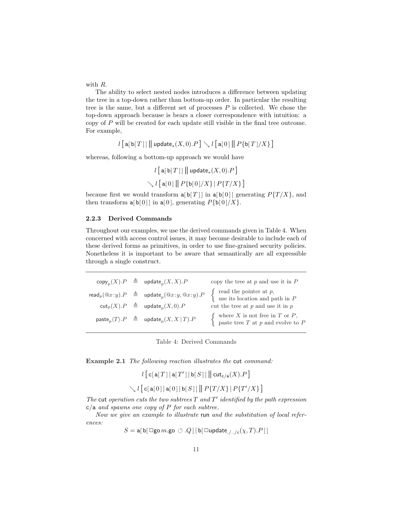with R.

The ability to select nested nodes introduces a difference between updating the tree in a top-down rather than bottom-up order. In particular the resulting tree is the same, but a different set of processes  $P$  is collected. We chose the top-down approach because is bears a closer correspondence with intuition: a copy of P will be created for each update still visible in the final tree outcome. For example,

$$
l\left[\left.\texttt{a}[\,\texttt{b}[T\,]\,]\,\right\|\texttt{update}_*(X,0).P\,\right]\searrow l\left[\left.\texttt{a}[0\,]\,\right\|\,P\{\texttt{b}[T\,]/X\}\,\right]
$$

whereas, following a bottom-up approach we would have

$$
l [a[b[T]] || update_*(X,0).P]
$$
  
\n
$$
\setminus l [a[0] || P{b[0]}/X\} | P{T/X}\]
$$

because first we would transform  $\mathbf{a}[\mathbf{b}[T]]$  in  $\mathbf{a}[\mathbf{b}[0]]$  generating  $P\{T/X\}$ , and then transform  $\mathbf{a}[\mathbf{b}[0]]$  in  $\mathbf{a}[0]$ , generating  $P\{\mathbf{b}[0]/X\}$ .

#### 2.2.3 Derived Commands

Throughout our examples, we use the derived commands given in Table 4. When concerned with access control issues, it may become desirable to include each of these derived forms as primitives, in order to use fine-grained security policies. Nonetheless it is important to be aware that semantically are all expressible through a single construct.

|  | $\text{copy}_n(X).P \triangleq \text{update}_n(X,X).P$                                                          | copy the tree at $p$ and use it in $P$                                                                                                                |
|--|-----------------------------------------------------------------------------------------------------------------|-------------------------------------------------------------------------------------------------------------------------------------------------------|
|  | read <sub>p</sub> $(\mathbb{Q}x:y)$ . $P \triangleq$ update <sub>p</sub> $(\mathbb{Q}x:y, \mathbb{Q}x:y)$ . $P$ | read the pointer at $p$ ,<br>use its location and path in $P$                                                                                         |
|  | $cut_p(X).P \triangleq$ update <sub>n</sub> $(X,0).P$                                                           | cut the tree at $p$ and use it in $p$                                                                                                                 |
|  | $\mathsf{paste}_p\langle T\rangle.P \cong \mathsf{update}_p(X, X \, \, T).P$                                    | $\begin{cases} \text{ where } X \text{ is not free in } T \text{ or } P, \\ \text{ paste tree } T \text{ at } p \text{ and evolve to } P \end{cases}$ |

Table 4: Derived Commands

Example 2.1 The following reaction illustrates the cut command:

$$
l\left[\left[c[\mathbf{a}[T]\,|\,\mathbf{a}[T']\,|\,\mathbf{b}[S]]\,\right\|\,\text{cut}_{c/\mathbf{a}}(X).P\right]
$$

$$
\searrow l\left[\left[c[\mathbf{a}[0]\,|\,\mathbf{a}[0]\,|\,\mathbf{b}[S]]\,\right]\right]P\{T/X\}\,\right]P\{T'/X\}\right]
$$

The cut operation cuts the two subtrees  $T$  and  $T'$  identified by the path expression  $c/a$  and spawns one copy of P for each subtree.

Now we give an example to illustrate run and the substitution of local references:

 $S=$  a[ b[  $\Box$ go  $m.$ go  $\circlearrowleft . Q$  ]  $\mid$  b[  $\Box$ update $_{\left.\right /..\left/ {\rm c}}(\chi,T).P$  ] ]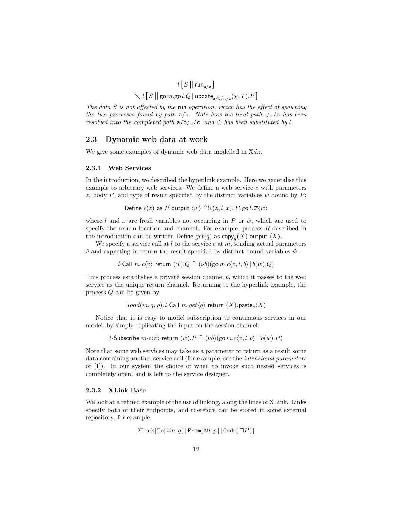$l\mid S\mid \text{run}_{a/b}$ 

 $\searrow l$   $\left[ \, S \, \right\|$  go  $m.$ go  $l.Q$   $\mid$  update $_{\mathtt{a}/\mathtt{b}/\ldots/\mathtt{c}}(\chi,T).P \, \right]$ 

The data  $S$  is not affected by the run operation, which has the effect of spawning the two processes found by path  $a/b$ . Note how the local path  $\ldots/c$  has been resolved into the completed path a/b/../c, and ª has been substituted by l.

## 2.3 Dynamic web data at work

We give some examples of dynamic web data modelled in  $Xd\pi$ .

#### 2.3.1 Web Services

In the introduction, we described the hyperlink example. Here we generalise this example to arbitrary web services. We define a web service  $c$  with parameters  $\tilde{z}$ , body P, and type of result specified by the distinct variables  $\tilde{w}$  bound by P:

Define  $c(\tilde{z})$  as P output  $\langle \tilde{w} \rangle \triangleq lc(\tilde{z}, l, x)$ . P. go  $l. \overline{x} \langle \tilde{w} \rangle$ 

where l and x are fresh variables not occurring in P or  $\tilde{w}$ , which are used to specify the return location and channel. For example, process  $R$  described in the introduction can be written Define  $get(q)$  as  $\mathsf{copy}_q(X)$  output  $\langle X \rangle$ .

We specify a service call at  $l$  to the service  $c$  at  $m$ , sending actual parameters  $\tilde{v}$  and expecting in return the result specified by distinct bound variables  $\tilde{w}$ :

*l*-Call 
$$
m \cdot c \langle \tilde{v} \rangle
$$
 return  $(\tilde{w}) . Q \triangleq (\nu b)(\text{go } m . \bar{c} \langle \tilde{v}, l, b \rangle | b(\tilde{w}) . Q)$ 

This process establishes a private session channel b, which it passes to the web service as the unique return channel. Returning to the hyperlink example, the process Q can be given by

 $!load(m,q,p).$   $l$   $\mathsf{Call}$   $m\text{-}get\langle q \rangle$  return  $(X)$  paste $_q\langle X \rangle$ 

Notice that it is easy to model subscription to continuous services in our model, by simply replicating the input on the session channel:

*l*·Subscribe  $m \cdot c \langle \tilde{v} \rangle$  return  $(\tilde{w}) \cdot P \triangleq (\nu b)(\rho \circ m \cdot \bar{c} \langle \tilde{v}, l, b \rangle | !b(\tilde{w}) \cdot P)$ 

Note that some web services may take as a parameter or return as a result some data containing another service call (for example, see the intensional parameters of [1]). In our system the choice of when to invoke such nested services is completely open, and is left to the service designer.

#### 2.3.2 XLink Base

We look at a refined example of the use of linking, along the lines of XLink. Links specify both of their endpoints, and therefore can be stored in some external repository, for example

XLink[To[ $@n:q$ ] | From[ $@l:p$ ] | Code[ $\square P$ ]]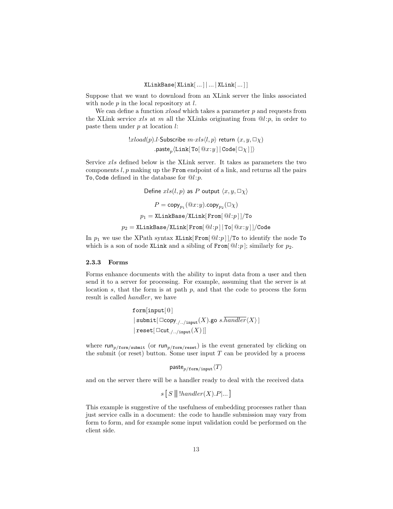XLinkBase[ XLink[ ... ] | ... | XLink[ ... ] ]

Suppose that we want to download from an XLink server the links associated with node  $p$  in the local repository at  $l$ .

We can define a function  $xload$  which takes a parameter  $p$  and requests from the XLink service xls at m all the XLinks originating from  $\mathbb{Q}l:p$ , in order to paste them under  $p$  at location  $l$ :

$$
\begin{aligned}[xload(p).l \text{-Subscript}~m \text{-} xls \langle l, p \rangle~ \text{return}~(x,y,\Box \chi)\\ &\text{-} \text{paste}_p \langle \text{Link}[\text{To}[\text{@} x:y] \, | \, \text{Code}[\Box \chi \, ]] \rangle\end{aligned}
$$

Service xls defined below is the XLink server. It takes as parameters the two components  $l, p$  making up the From endpoint of a link, and returns all the pairs To, Code defined in the database for  $@l:p$ .

$$
\begin{aligned} \text{Define } x l s(l,p) \text{ as } P \text{ output } \langle x,y,\Box\chi\rangle \\ P &= \text{copy}_{p_1}(\text{@} x:y).\text{copy}_{p_2}(\Box\chi) \\ p_1 &= \texttt{XLinkBase} / \texttt{XLink}[\texttt{From}[\text{@} l:p]] / \texttt{To} \\ p_2 &= \texttt{XLinkBase} / \texttt{XLink}[\texttt{From}[\text{@} l:p] \, \texttt{To}[\text{@} x:y]] / \texttt{Code} \end{aligned}
$$

In  $p_1$  we use the XPath syntax XLink From  $\mathcal{Q}(p_1)/T$  to identify the node To which is a son of node XLink and a sibling of  $From[@l:p]$ ; similarly for  $p_2$ .

#### 2.3.3 Forms

Forms enhance documents with the ability to input data from a user and then send it to a server for processing. For example, assuming that the server is at location  $s$ , that the form is at path  $p$ , and that the code to process the form result is called handler, we have

$$
\begin{aligned} &\quad \texttt{form}[\texttt{input}[0] \\ &\mid \texttt{submit}[\texttt{Ccopy}_{./..\texttt{input}}(X).\texttt{go } s.\overline{handler}\langle X \rangle] \\ &\mid \texttt{reset}[\texttt{Ccut}_{./..\texttt{input}}(X)]] \end{aligned}
$$

where  $\text{run}_{p/\text{form}/\text{submit}}$  (or  $\text{run}_{p/\text{form}/\text{reset}}$ ) is the event generated by clicking on the submit (or reset) button. Some user input  $T$  can be provided by a process

$$
\text{paste}_{p/\text{form}/\text{input}}\langle T\rangle
$$

and on the server there will be a handler ready to deal with the received data

s [ S k!handler(X).P|...]

This example is suggestive of the usefulness of embedding processes rather than just service calls in a document: the code to handle submission may vary from form to form, and for example some input validation could be performed on the client side.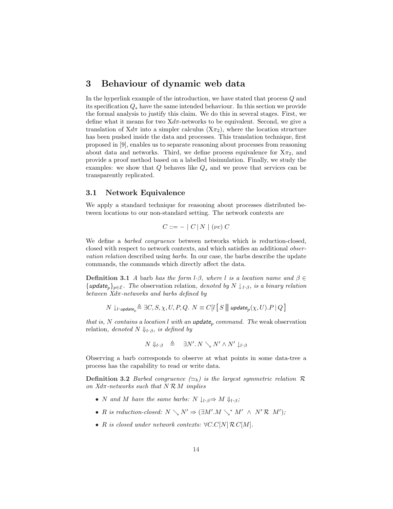# 3 Behaviour of dynamic web data

In the hyperlink example of the introduction, we have stated that process Q and its specification  $Q_s$  have the same intended behaviour. In this section we provide the formal analysis to justify this claim. We do this in several stages. First, we define what it means for two  $Xd\pi$ -networks to be equivalent. Second, we give a translation of  $Xd\pi$  into a simpler calculus  $(X\pi_2)$ , where the location structure has been pushed inside the data and processes. This translation technique, first proposed in [9], enables us to separate reasoning about processes from reasoning about data and networks. Third, we define process equivalence for  $X_{\pi_2}$ , and provide a proof method based on a labelled bisimulation. Finally, we study the examples: we show that  $Q$  behaves like  $Q_s$  and we prove that services can be transparently replicated.

# 3.1 Network Equivalence

We apply a standard technique for reasoning about processes distributed between locations to our non-standard setting. The network contexts are

$$
C ::= - | C | N | (\nu c) C
$$

We define a barbed congruence between networks which is reduction-closed, closed with respect to network contexts, and which satisfies an additional observation relation described using barbs. In our case, the barbs describe the update commands, the commands which directly affect the data.

**Definition 3.1** A barb has the form  $l \cdot \beta$ , where l is a location name and  $\beta \in$ {update<sub>p</sub>}<sub>p∈E</sub>. The observation relation, denoted by  $N \downarrow_{l}$ , is a binary relation between  $Xd\pi$ -networks and barbs defined by

$$
N\downarrow_{l\cdot \textit{update}_p} \triangleq \exists C, S, \chi, U, P, Q. \; N \equiv C[l\left[\left.S\right] \right] \textit{update}_p(\chi, U).P\left|\right.Q\left.\right]
$$

that is, N contains a location l with an update<sub>p</sub> command. The weak observation relation, denoted  $N \Downarrow_{l \cdot \beta}$ , is defined by

$$
N \Downarrow_{l \cdot \beta} \quad \triangleq \quad \exists N'. \, N \searrow N' \wedge N' \downarrow_{l \cdot \beta}
$$

Observing a barb corresponds to observe at what points in some data-tree a process has the capability to read or write data.

**Definition 3.2** Barbed congruence  $(\simeq_b)$  is the largest symmetric relation R on  $X\llcorner d\pi$ -networks such that  $N \mathcal{R} M$  implies

- N and M have the same barbs: N  $\downarrow_l g \Rightarrow M \Downarrow_l g$ ;
- R is reduction-closed:  $N \searrow N' \Rightarrow (\exists M'.M \searrow^* M' \wedge N'R M')$ ;
- R is closed under network contexts:  $\forall C.C[N] \mathcal{R} C[M].$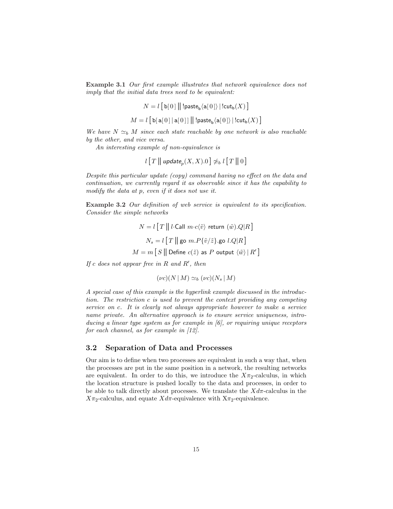Example 3.1 Our first example illustrates that network equivalence does not imply that the initial data trees need to be equivalent:

```
N = l\left[\!\left\lfloor \mathrm{b}[0] \,\right\rfloor \!\right]! !paste_\mathrm{b}\langle \mathrm{a}[0] \rangle \, | \, ! \mathrm{cut}_{\mathrm{b}}(X)\,\bigr]
```

$$
M=l\left[\left.\texttt{b}[\left.\texttt{a}[\hspace{0.03cm}[0\hspace{0.03cm}]\right|\texttt{a}[\hspace{0.03cm}[0\hspace{0.03cm}]]\right.\right. \left.\left.\texttt{[0]}\right|\texttt{[0]}\right) \left.\left.\texttt{[cut}_\texttt{b}(X)\right.\right]
$$

We have  $N \simeq_h M$  since each state reachable by one network is also reachable by the other, and vice versa.

An interesting example of non-equivalence is

$$
l\left[\,T\,\right|\right]\mathit{update}_p(X,X).0\left]\not\simeq_b l\left[\,T\,\right]\right|0\left]
$$

Despite this particular update (copy) command having no effect on the data and continuation, we currently regard it as observable since it has the capability to modify the data at p, even if it does not use it.

Example 3.2 Our definition of web service is equivalent to its specification. Consider the simple networks

$$
N = l [T || l \cdot \text{Call } m \cdot c \langle \tilde{v} \rangle \text{ return } (\tilde{w}).Q|R]
$$
  

$$
N_s = l [T || \text{go } m.P\{ \tilde{v}/\tilde{z} \}.\text{go } l.Q|R]
$$
  

$$
M = m [S || \text{Define } c(\tilde{z}) \text{ as } P \text{ output } \langle \tilde{w} \rangle | R']
$$

If c does not appear free in  $R$  and  $R'$ , then

$$
(\nu c)(N \,|\, M) \simeq_b (\nu c)(N_s \,|\, M)
$$

A special case of this example is the hyperlink example discussed in the introduction. The restriction c is used to prevent the context providing any competing service on c. It is clearly not always appropriate however to make a service name private. An alternative approach is to ensure service uniqueness, introducing a linear type system as for example in [6], or requiring unique receptors for each channel, as for example in [12].

## 3.2 Separation of Data and Processes

Our aim is to define when two processes are equivalent in such a way that, when the processes are put in the same position in a network, the resulting networks are equivalent. In order to do this, we introduce the  $X_{\pi_2}$ -calculus, in which the location structure is pushed locally to the data and processes, in order to be able to talk directly about processes. We translate the  $Xd\pi$ -calculus in the  $X\pi_2$ -calculus, and equate  $Xd\pi$ -equivalence with  $X\pi_2$ -equivalence.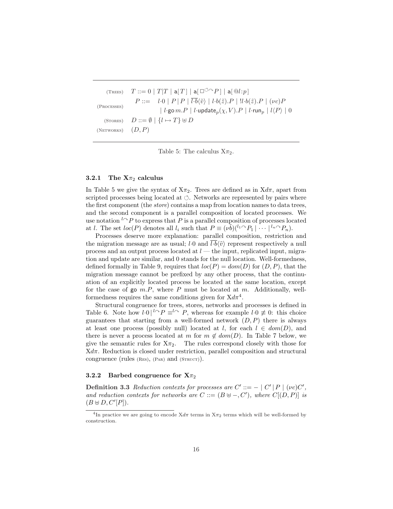|                     | (TREES) $T ::= 0   T T   a T   a \Box^{\circlearrowleft} P   a \Box^{\circlearrowleft} P$                                                                                                                                                                                                            |
|---------------------|------------------------------------------------------------------------------------------------------------------------------------------------------------------------------------------------------------------------------------------------------------------------------------------------------|
| (PROCESSES)         | $P ::= \left\{ l \cdot 0 \mid P \mid P \mid \overline{l \cdot b} \langle \tilde{v} \rangle \mid l \cdot b(\tilde{z}).P \mid l \cdot b(\tilde{z}).P \mid (\nu c)P \right\}$<br>  $l \cdot \text{go } m.P$   $l \cdot \text{update}_p(\chi, V).P$   $l \cdot \text{run}_p$   $l \langle P \rangle$   0 |
|                     | (STORES) $D ::= \emptyset   \{l \mapsto T\} \oplus D$                                                                                                                                                                                                                                                |
| (NETWORKS) $(D, P)$ |                                                                                                                                                                                                                                                                                                      |

Table 5: The calculus  $X_{\pi_2}$ .

#### 3.2.1 The  $X_{\pi_2}$  calculus

In Table 5 we give the syntax of  $X_{\pi_2}$ . Trees are defined as in  $X_d\pi$ , apart from scripted processes being located at  $\circlearrowleft$ . Networks are represented by pairs where the first component (the store) contains a map from location names to data trees, and the second component is a parallel composition of located processes. We use notation  $\bigcap P$  to express that P is a parallel composition of processes located at l. The set  $loc(P)$  denotes all  $l_i$  such that  $P \equiv (\nu \tilde{b})^{(l_1 \wedge \nu P_1)} \cdots |_{l_n \wedge l_n}^{l_n \wedge \nu P_n}$ .

Processes deserve more explanation: parallel composition, restriction and the migration message are as usual;  $l \cdot 0$  and  $\overline{l \cdot b} \langle \tilde{v} \rangle$  represent respectively a null process and an output process located at  $l$  — the input, replicated input, migration and update are similar, and 0 stands for the null location. Well-formedness, defined formally in Table 9, requires that  $loc(P) = dom(D)$  for  $(D, P)$ , that the migration message cannot be prefixed by any other process, that the continuation of an explicitly located process be located at the same location, except for the case of go  $m.P$ , where P must be located at m. Additionally, wellformedness requires the same conditions given for  $X d\pi^4$ .

Structural congruence for trees, stores, networks and processes is defined in Table 6. Note how  $l \cdot 0 \mid l \sim P \equiv l \sim P$ , whereas for example  $l \cdot 0 \not\equiv 0$ : this choice guarantees that starting from a well-formed network  $(D, P)$  there is always at least one process (possibly null) located at l, for each  $l \in dom(D)$ , and there is never a process located at m for  $m \notin dom(D)$ . In Table 7 below, we give the semantic rules for  $X_{\pi_2}$ . The rules correspond closely with those for  $Xd\pi$ . Reduction is closed under restriction, parallel composition and structural congruence (rules  $(RES)$ ,  $(PAR)$  and  $(STRUCT)$ ).

### 3.2.2 Barbed congruence for  $X_{\pi_2}$

**Definition 3.3** Reduction contexts for processes are  $C' ::= - | C' | P | (\nu c) C'$ , and reduction contexts for networks are  $C ::= (B \cup \neg, C')$ , where  $C[(D, P)]$  is  $(B \oplus D, C'[P]).$ 

<sup>&</sup>lt;sup>4</sup>In practice we are going to encode  $Xd\pi$  terms in  $X\pi_2$  terms which will be well-formed by construction.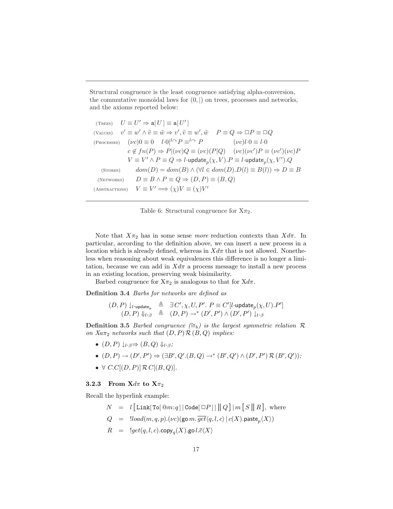Structural congruence is the least congruence satisfying alpha-conversion, the commutative monoidal laws for  $(0, |)$  on trees, processes and networks, and the axioms reported below:

|                | (TREES) $U \equiv U' \Rightarrow \mathsf{a}[U] \equiv \mathsf{a}[U']$                                                                                     |
|----------------|-----------------------------------------------------------------------------------------------------------------------------------------------------------|
|                | (VALUES) $v' \equiv w' \wedge \tilde{v} \equiv \tilde{w} \Rightarrow v', \tilde{v} \equiv w', \tilde{w}$<br>$P \equiv Q \Rightarrow \Box P \equiv \Box Q$ |
|                | (PROCESSES) $(\nu c)0 \equiv 0$ $l \cdot 0 \mid l \sim P \equiv l \sim P$<br>$(\nu c) l \cdot 0 \equiv l \cdot 0$                                         |
|                | $c \notin fn(P) \Rightarrow P   (\nu c) Q \equiv (\nu c) (P   Q)$ $(\nu c) (\nu c') P \equiv (\nu c') (\nu c) P$                                          |
|                | $V \equiv V' \land P \equiv Q \Rightarrow l$ -update $_p(\chi, V) \cdot P \equiv l$ -update $_p(\chi, V') \cdot Q$                                        |
| (STORES)       | $dom(D) = dom(B) \wedge (\forall l \in dom(D).D(l) \equiv B(l)) \Rightarrow D \equiv B$                                                                   |
| (NETWORKS)     | $D \equiv B \wedge P \equiv Q \Rightarrow (D, P) \equiv (B, Q)$                                                                                           |
| (ABSTRACTIONS) | $V \equiv V' \Longrightarrow (\chi)V \equiv (\chi)V'$                                                                                                     |

Table 6: Structural congruence for  $X\pi_2$ .

Note that  $X\pi_2$  has in some sense *more* reduction contexts than  $Xd\pi$ . In particular, according to the definition above, we can insert a new process in a location which is already defined, whereas in  $Xd\pi$  that is not allowed. Nonetheless when reasoning about weak equivalences this difference is no longer a limitation, because we can add in  $Xd\pi$  a process message to install a new process in an existing location, preserving weak bisimilarity.

Barbed congruence for  $X\pi_2$  is analogous to that for  $Xd\pi$ .

Definition 3.4 Barbs for networks are defined as

$$
\begin{array}{rcl}\n(D, P) \downarrow_{l \cdot \text{update}_p} & \triangleq & \exists \, C', \chi, U, P'. \; P \equiv C'[l \cdot \text{update}_p(\chi, U).P'] \\
(D, P) \downarrow_{l \cdot \beta} & \triangleq & (D, P) \rightarrow^* (D', P') \land (D', P') \downarrow_{l \cdot \beta}\n\end{array}
$$

Definition 3.5 Barbed congruence  $(\cong_b)$  is the largest symmetric relation R on  $Xa\pi_2$  networks such that  $(D, P) \mathcal{R}(B, Q)$  implies:

- $(D, P) \downarrow_l g \Rightarrow (B, Q) \downarrow_l g;$
- $(D, P) \to (D', P') \Rightarrow (\exists B', Q'.(B, Q) \to^* (B', Q') \land (D', P') \mathcal{R}(B', Q'))$ ;
- $\forall C.C[(D, P)] \mathcal{R} C[(B, Q)].$

#### 3.2.3 From  $\mathbf{X}d\pi$  to  $\mathbf{X}\pi_2$

Recall the hyperlink example:

$$
N = l [\text{Link}[\text{To}[\text{@}m:q] | \text{Code}[\Box P]] || Q] | m [S || R], \text{ where}
$$
\n
$$
Q = \text{!load}(m, q, p) . (\nu c) (\text{go } m. \overline{get} \langle q, l, c \rangle | c(X). \text{past}_p \langle X \rangle)
$$
\n
$$
R = \text{!get}(q, l, c). \text{copy}_q(X). \text{go } l. \overline{c} \langle X \rangle
$$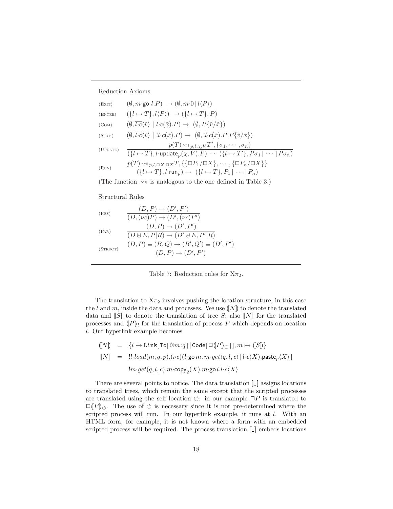Reduction Axioms

| (ExIT)            | $(\emptyset, m \text{-go } l.P) \rightarrow (\emptyset, m \cdot 0 \mid l \langle P \rangle)$                                                                                                  |
|-------------------|-----------------------------------------------------------------------------------------------------------------------------------------------------------------------------------------------|
| (ENTER)           | $({l \mapsto T}, l\langle P \rangle) \rightarrow ({l \mapsto T}, P)$                                                                                                                          |
| (COM)             | $(\emptyset, \overline{l \cdot c} \langle \tilde{v} \rangle \mid l \cdot c(\tilde{x}).P) \rightarrow (\emptyset, P\{ \tilde{v}/\tilde{x} \})$                                                 |
| (!CM)             | $(\emptyset, \overline{l \cdot c} \langle \tilde{v} \rangle \mid !l \cdot c(\tilde{x}).P) \rightarrow (\emptyset, !l \cdot c(\tilde{x}).P P\{\tilde{v}/\tilde{x}\})$                          |
| $(UP\text{DATE})$ | $p(T) \rightsquigarrow_{p,l,\chi,V} T', {\sigma_1, \cdots, \sigma_n}$<br>$({l \mapsto T}, l \cdot \text{update}_p(\chi, V).P) \rightarrow ({l \mapsto T'}, P \sigma_1   \cdots   P \sigma_n)$ |
| (RUN)             | $p(T) \rightsquigarrow_{p,l,\Box X,\Box X} T, \{\{\Box P_1/\Box X\},\cdots,\{\Box P_n/\Box X\}\}\$<br>$({l \mapsto T}, l \cdot run_p) \rightarrow ({l \mapsto T}, P_1   \cdots   P_n)$        |

(The function  $\rightsquigarrow$  is analogous to the one defined in Table 3.)

Structural Rules

(Res)  
\n
$$
\frac{(D, P) \rightarrow (D', P')}{(D, (\nu c)P) \rightarrow (D', (\nu c)P')}
$$
\n
$$
\frac{(D, P) \rightarrow (D', \nu c)P'}{(D \oplus E, P | R) \rightarrow (D' \oplus E, P' | R)}
$$
\n
$$
\frac{(D, P) \equiv (B, Q) \rightarrow (B', Q') \equiv (D', P')}{(D, P) \rightarrow (D', P')}
$$

Table 7: Reduction rules for  $X\pi_2$ .

The translation to  $X_{\pi_2}$  involves pushing the location structure, in this case the l and m, inside the data and processes. We use  $[N]$  to denote the translated data and  $||S||$  to denote the translation of tree S; also  $||N||$  for the translated processes and  $\{P\}_l$  for the translation of process P which depends on location l. Our hyperlink example becomes

$$
\begin{array}{lcl} ({\cal N}) & = & \{ l \mapsto {\tt Link}[ {\tt To} [\, @m:q\, ] \, | \, {\tt Code} [\, \Box \{P\}_\bigcirc\, ] \,], m \mapsto ({\cal S}) \} \\ \\ [{\cal N}] & = & !l \cdot load(m,q,p).(\nu c) ( l \cdot {\tt go}\, m.\, \overline{m \cdot get} \langle q, l, c \rangle \, | \, l \cdot c(X).{\tt paste}_p \langle X \rangle \, | \\ \\ & ~~ !m \cdot get(q,l,c).m \cdot {\tt copy}_q(X).m \cdot {\tt go}\, l.\overline{l \cdot c} \langle X \rangle \end{array}
$$

There are several points to notice. The data translation  $\llbracket \cdot \rrbracket$  assigns locations to translated trees, which remain the same except that the scripted processes are translated using the self location  $\circlearrowleft$ : in our example  $\Box P$  is translated to  $\Box \langle P \rangle$ . The use of  $\circlearrowleft$  is necessary since it is not pre-determined where the scripted process will run. In our hyperlink example, it runs at l. With an HTML form, for example, it is not known where a form with an embedded scripted process will be required. The process translation  $\llbracket \_ \rrbracket$  embeds locations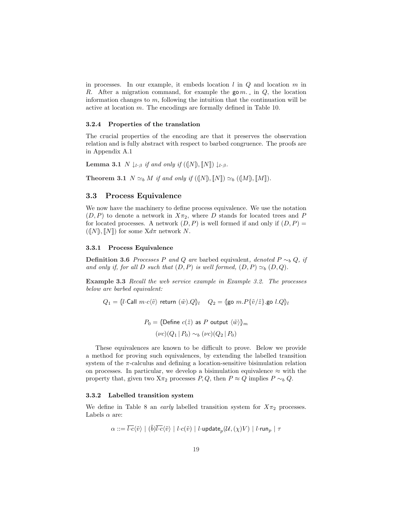in processes. In our example, it embeds location  $l$  in  $Q$  and location  $m$  in R. After a migration command, for example the gom. in  $Q$ , the location information changes to  $m$ , following the intuition that the continuation will be active at location m. The encodings are formally defined in Table 10.

#### 3.2.4 Properties of the translation

The crucial properties of the encoding are that it preserves the observation relation and is fully abstract with respect to barbed congruence. The proofs are in Appendix A.1

**Lemma 3.1** N  $\downarrow_{l \cdot \beta}$  if and only if  $(\llbracket N \rrbracket, \llbracket N \rrbracket) \downarrow_{l \cdot \beta}$ .

**Theorem 3.1**  $N \simeq_b M$  if and only if  $((N), [N]) \simeq_b (([M], [M])$ .

# 3.3 Process Equivalence

We now have the machinery to define process equivalence. We use the notation  $(D, P)$  to denote a network in  $X\pi_2$ , where D stands for located trees and P for located processes. A network  $(D, P)$  is well formed if and only if  $(D, P)$  =  $((N), [N])$  for some  $Xd\pi$  network N.

#### 3.3.1 Process Equivalence

**Definition 3.6** Processes P and Q are barbed equivalent, denoted  $P \sim_b Q$ , if and only if, for all D such that  $(D, P)$  is well formed,  $(D, P) \simeq_b (D, Q)$ .

Example 3.3 Recall the web service example in Example 3.2. The processes below are barbed equivalent:

 $Q_1 = \langle l \cdot \text{Call } m \cdot c \langle \tilde{v} \rangle$  return  $(\tilde{w}).Q$ <sub>il</sub>  $Q_2 = \langle \text{go } m.P \{ \tilde{v}/\tilde{z} \} \cdot \text{go } l.Q \rangle_l$ 

 $P_0 = \text{[Define } c(\tilde{z}) \text{ as } P \text{ output } \langle \tilde{w} \rangle \rangle_m$  $(\nu c)(Q_1 | P_0) \sim_b (\nu c)(Q_2 | P_0)$ 

These equivalences are known to be difficult to prove. Below we provide a method for proving such equivalences, by extending the labelled transition system of the  $\pi$ -calculus and defining a location-sensitive bisimulation relation on processes. In particular, we develop a bisimulation equivalence  $\approx$  with the property that, given two  $X\pi_2$  processes P, Q, then  $P \approx Q$  implies  $P \sim_b Q$ .

#### 3.3.2 Labelled transition system

We define in Table 8 an early labelled transition system for  $X_{\pi_2}$  processes. Labels  $\alpha$  are:

 $\alpha ::= \overline{l\cdot c} \langle \tilde{v} \rangle \mid (\tilde{b})\overline{l\cdot c} \langle \tilde{v} \rangle \mid l\cdot c(\tilde{v}) \mid l\cdot \mathsf{update}_p(\mathcal{U},(\chi)V) \mid l\cdot \mathsf{run}_p \mid \tau$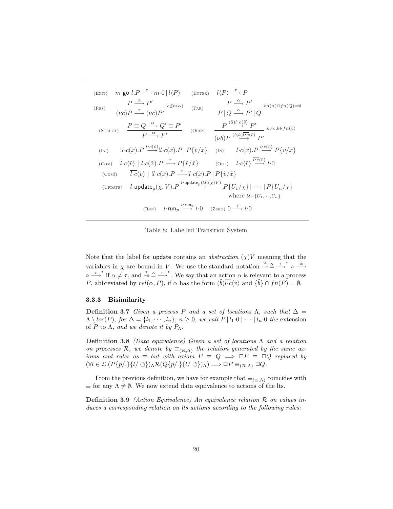(Exrr)

\n
$$
m \cdot \text{go } l \cdot P \xrightarrow{\tau} m \cdot 0 \mid l \langle P \rangle \quad \text{(ENTER)}
$$
\n
$$
l \langle P \rangle \xrightarrow{\tau} P
$$
\n(Res)

\n
$$
\frac{P \xrightarrow{\alpha} P'}{(\nu c) P} \cdot c \n\varphi n(\alpha) \quad \text{(PAR)}
$$
\n
$$
\frac{P \xrightarrow{\alpha} P'}{P \mid Q} \cdot b n(\alpha) \cap f n(Q) = \emptyset
$$
\n(STRUCT)

\n
$$
\frac{P \equiv Q \xrightarrow{\alpha} Q' \equiv P'}{P \xrightarrow{\alpha} P'} \quad \text{(OPEN)}
$$
\n
$$
\frac{P \xrightarrow{\overline{\alpha}} P'}{(\nu b) P} \cdot \frac{P \xrightarrow{\overline{\alpha} P'} P'}{b \n\neq c, b \in f n(\tilde{v})}
$$
\n(IN!)

\n
$$
l \cdot c(\tilde{x}) \cdot P \xrightarrow{\overline{l \cdot c(\tilde{v})}} l \cdot c(\tilde{x}) \cdot P \mid P \{\tilde{v}/\tilde{x} \} \quad \text{(IN)}
$$
\n
$$
l \cdot c(\tilde{x}) \cdot P \xrightarrow{\overline{l \cdot c(\tilde{v})}} l \cdot c(\tilde{x}) \cdot P \xrightarrow{\tau} P \{\tilde{v}/\tilde{x} \} \quad \text{(OUT)}
$$
\n
$$
l \cdot c(\tilde{v}) \xrightarrow{\overline{l \cdot c(\tilde{v})}} l \cdot c(\tilde{x}) \cdot P \xrightarrow{\tau} l \cdot c(\tilde{x}) \cdot P \mid P \{\tilde{v}/\tilde{x} \}
$$
\n(UPAATE)

\n
$$
l \cdot \text{update}_p(\chi, V) \cdot P \xrightarrow{\overline{l \cdot u \text{update}_p(\chi, V)'} P \{U_1/\chi\} \mid \dots \mid P \{U_n/\chi\} \text{ where } U = \{U_1, \dots, U_n\}
$$
\n(RW)

\n
$$
l \cdot \text{run}_p \xrightarrow{l \cdot \text{run}_p} l \cdot 0 \quad \text{(ZERO)}
$$
\n
$$
0 \xrightarrow{\tau} l \cdot 0
$$

Table 8: Labelled Transition System

Note that the label for update contains an *abstraction*  $(\chi)V$  meaning that the variables in  $\chi$  are bound in V. We use the standard notation  $\stackrel{\alpha}{\rightarrow} \stackrel{\beta}{\rightleftharpoons} \stackrel{\tau}{\rightarrow} \circ \stackrel{\alpha}{\longrightarrow}$  $\circ \stackrel{\tau}{\longrightarrow}^*$  if  $\alpha \neq \tau$ , and  $\stackrel{\tau}{\longrightarrow} \stackrel{\alpha}{\longrightarrow}^*$ . We say that an action  $\alpha$  is relevant to a process P, abbreviated by  $rel(\alpha, P)$ , if  $\alpha$  has the form  $(\tilde{b})\overline{\{l\cdot c}}\langle \tilde{v}\rangle$  and  $\{\tilde{b}\}\cap fn(P) = \emptyset$ .

#### 3.3.3 Bisimilarity

Definition 3.7 Given a process P and a set of locations Λ, such that  $\Delta =$  $\Lambda \setminus loc(P)$ , for  $\Delta = \{l_1, \dots, l_n\}$ ,  $n \geq 0$ , we call  $P | l_1 \cdot 0 | \dots | l_n \cdot 0$  the extension of P to  $\Lambda$ , and we denote it by  $P_{\Lambda}$ .

Definition 3.8 (Data equivalence) Given a set of locations  $\Lambda$  and a relation on processes  $\mathcal{R}$ , we denote by  $\equiv_{(\mathcal{R},\Lambda)}$  the relation generated by the same axioms and rules as  $\equiv$  but with axiom  $P \equiv Q \implies \Box P \equiv \Box Q$  replaced by  $(\forall l \in \mathcal{L}. (P\{p\}, \{\{l\}\ \cup\})_{\Lambda} \mathcal{R}(Q\{p\}, \{\{l\}\ \cup\})_{\Lambda}) \Longrightarrow \Box P \equiv_{(\mathcal{R}, \Lambda)} \Box Q.$ 

From the previous definition, we have for example that  $\equiv_{(\equiv,\Lambda)}$  coincides with  $\equiv$  for any  $\Lambda \neq \emptyset$ . We now extend data equivalence to actions of the lts.

**Definition 3.9** (Action Equivalence) An equivalence relation  $\mathcal{R}$  on values induces a corresponding relation on lts actions according to the following rules: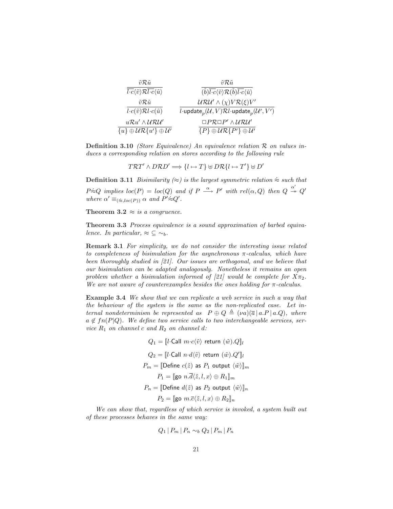| $\tilde{v}\mathcal{R}\tilde{u}$                                                                   | $\tilde{v}\mathcal{R}\tilde{u}$                                                                                         |
|---------------------------------------------------------------------------------------------------|-------------------------------------------------------------------------------------------------------------------------|
| $\overline{l\cdot c}\langle\tilde{v}\rangle\mathcal{R}\overline{l\cdot c}\langle\tilde{u}\rangle$ | $(\tilde{b})\overline{l\cdot c}\langle\tilde{v}\rangle\mathcal{R}(\tilde{b})\overline{l\cdot c}\langle\tilde{u}\rangle$ |
| $\tilde{v}\mathcal{R}\tilde{u}$                                                                   | $URU' \wedge (\chi) V \mathcal{R}(\xi) V'$                                                                              |
| $l \cdot c(\tilde{v}) \mathcal{R} l \cdot c(\tilde{u})$                                           | l·update $_p(\mathcal{U}, V)$ Rl·update $_p(\mathcal{U}', V')$                                                          |
| $u\mathcal{R}u' \wedge U\mathcal{R}U'$                                                            | $\Box P \mathcal{R} \Box P' \wedge \mathcal{U} \mathcal{R} \mathcal{U}'$                                                |
| ${u} \oplus U \mathcal{R}{u'} \oplus U'$                                                          | ${P} \oplus U \mathcal{R} {P'} \oplus U'$                                                                               |

**Definition 3.10** (Store Equivalence) An equivalence relation  $\mathcal{R}$  on values induces a corresponding relation on stores according to the following rule

 $TRT' \wedge DRD' \Longrightarrow \{l \mapsto T\} \uplus D\mathcal{R}\{l \mapsto T'\} \uplus D'$ 

**Definition 3.11** Bisimilarity  $(\approx)$  is the largest symmetric relation  $\approx$  such that  $P \dot{\approx} Q$  implies  $loc(P) = loc(Q)$  and if  $P \stackrel{\alpha}{\longrightarrow} P'$  with  $rel(\alpha, Q)$  then  $Q \stackrel{\alpha'}{\rightarrow} Q'$ where  $\alpha' \equiv_{(\approx,loc(P))} \alpha$  and  $P' \dot{\approx} Q'$ .

Theorem 3.2  $\approx$  is a congruence.

Theorem 3.3 Process equivalence is a sound approximation of barbed equivalence. In particular,  $\approx \subset \sim_b$ .

Remark 3.1 For simplicity, we do not consider the interesting issue related to completeness of bisimulation for the asynchronous  $\pi$ -calculus, which have been thoroughly studied in [21]. Our issues are orthogonal, and we believe that our bisimulation can be adapted analogously. Nonetheless it remains an open problem whether a bisimulation informed of [21] would be complete for  $X_{\pi_2}$ . We are not aware of counterexamples besides the ones holding for  $\pi$ -calculus.

Example 3.4 We show that we can replicate a web service in such a way that the behaviour of the system is the same as the non-replicated case. Let internal nondeterminism be represented as  $P \oplus Q \triangleq (\nu a)(\overline{a} | a.P | a.Q)$ , where  $a \notin fn(P|Q)$ . We define two service calls to two interchangeable services, service  $R_1$  on channel c and  $R_2$  on channel d:

$$
Q_1 = [l \cdot \text{Call } m \cdot c \langle \tilde{v} \rangle \text{ return } (\tilde{w}).Q]_l
$$
  
\n
$$
Q_2 = [l \cdot \text{Call } n \cdot d \langle \tilde{v} \rangle \text{ return } (\tilde{w}).Q']_l
$$
  
\n
$$
P_m = [\text{Define } c(\tilde{z}) \text{ as } P_1 \text{ output } \langle \tilde{w} \rangle]_m
$$
  
\n
$$
P_1 = [\text{go } n \cdot \overline{d} \langle \tilde{z}, l, x \rangle \oplus R_1]_m
$$
  
\n
$$
P_n = [\text{Define } d(\tilde{z}) \text{ as } P_2 \text{ output } \langle \tilde{w} \rangle]_n
$$
  
\n
$$
P_2 = [\text{go } m \cdot \overline{c} \langle \tilde{z}, l, x \rangle \oplus R_2]_n
$$

We can show that, regardless of which service is invoked, a system built out of these processes behaves in the same way:

$$
Q_1 | P_m | P_n \sim_b Q_2 | P_m | P_n
$$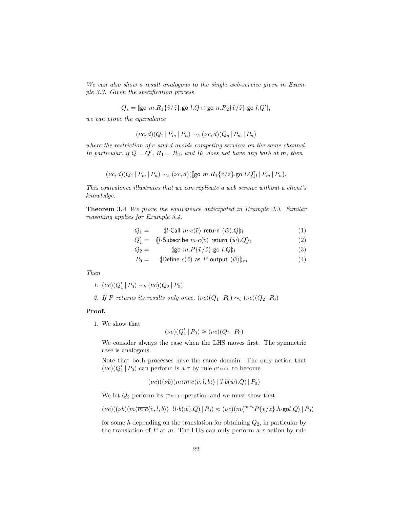We can also show a result analogous to the single web-service given in Example 3.3. Given the specification process

$$
Q_s = [\text{go }m.R_1\{\tilde{v}/\tilde{z}\}.\text{go }l.Q \oplus \text{go }n.R_2\{\tilde{v}/\tilde{z}\}.\text{go }l.Q']_l
$$

we can prove the equivalence

$$
(\nu c, d)(Q_1 | P_m | P_n) \sim_b (\nu c, d)(Q_s | P_m | P_n)
$$

where the restriction of c and d avoids competing services on the same channel. In particular, if  $Q = Q'$ ,  $R_1 = R_2$ , and  $R_1$  does not have any barb at m, then

$$
(\nu c, d)(Q_1 | P_m | P_n) \sim_b (\nu c, d)
$$
([go  $m.R_1\{\tilde{v}/\tilde{z}\}$ .go  $l.Q$ ]<sub>l</sub> |  $P_m | P_n$ ).

This equivalence illustrates that we can replicate a web service without a client's knowledge.

Theorem 3.4 We prove the equivalence anticipated in Example 3.3. Similar reasoning applies for Example 3.4.

$$
Q_1 = \qquad \langle l \cdot \text{Call } m \cdot c \langle \tilde{v} \rangle \text{ return } (\tilde{w}).Q \rangle_l \tag{1}
$$

$$
Q_1' = \{l.\text{-Subscript } m \cdot c \langle \tilde{v} \rangle \text{ return } (\tilde{w}).Q\}_l \tag{2}
$$

$$
Q_2 = \langle \text{[go } m.P\{\tilde{v}/\tilde{z}\}, \text{go } l.Q \rangle_l \tag{3}
$$

$$
P_0 = \text{{{Define } c(\tilde{z}) as } P \text{ output } \langle \tilde{w} \rangle \mathcal{}}_m \tag{4}
$$

Then

1. 
$$
(\nu c)(Q'_1 | P_0) \sim_b (\nu c)(Q_2 | P_0)
$$

2. If P returns its results only once,  $(\nu c)(Q_1 | P_0) \sim_b (\nu c)(Q_2 | P_0)$ 

# Proof.

1. We show that

$$
(\nu c)(Q_1' | P_0) \approx (\nu c)(Q_2 | P_0)
$$

We consider always the case when the LHS moves first. The symmetric case is analogous.

Note that both processes have the same domain. The only action that  $(\nu c)(Q'_1 | P_0)$  can perform is a  $\tau$  by rule (EXIT), to become

$$
(\nu c)((\nu b)(m\langle \overline{m\cdot c}\langle \tilde{v},l,b\rangle) \mid !l \cdot b(\tilde{w}).Q) \mid P_0)
$$

We let  $Q_2$  perform its (EXIT) operation and we must show that

$$
(\nu c)((\nu b)(m\langle \overline{m\cdot c}\langle \tilde{v},l,b\rangle)\mid !l\cdot b(\tilde{w}).Q)\mid P_0)\approx (\nu c)(m\langle \overline{m\cap P}\{\tilde{v}/\tilde{z}\}.\overline{h\cdot \text{gol}.Q}\mid P_0)
$$

for some  $h$  depending on the translation for obtaining  $Q_2$ , in particular by the translation of P at m. The LHS can only perform a  $\tau$  action by rule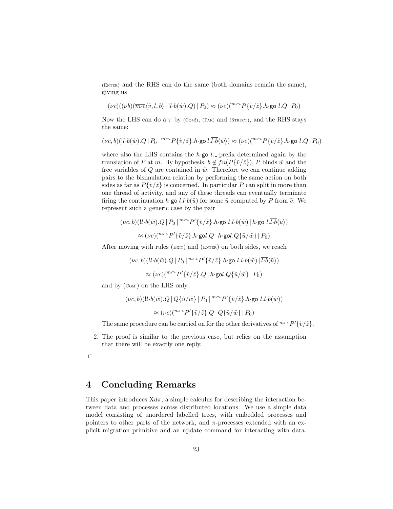(Enter) and the RHS can do the same (both domains remain the same), giving us

$$
(\nu c)((\nu b)(\overline{m\cdot c}\langle \tilde{v},l,b\rangle \mid !l\cdot b(\tilde{w}).Q)\mid P_0)\approx (\nu c)(\overline{m\cap P}\{\tilde{v}/\tilde{z}\}.h\cdot \text{go }l.Q\mid P_0)
$$

Now the LHS can do a  $\tau$  by (COM!), (PAR) and (STRUCT), and the RHS stays the same:

$$
(\nu c, b)(!l \cdot b(\tilde{w}).Q \mid P_0 \mid {}^{m \frown} P\{\tilde{v}/\tilde{z}\}.h \cdot \text{go } l.\overline{l \cdot b} \langle \tilde{w} \rangle) \approx (\nu c) \left(^{m \frown} P\{\tilde{v}/\tilde{z}\}.h \cdot \text{go } l.\overline{Q} \mid P_0\right)
$$

where also the LHS contains the  $h$ -go  $l$ . prefix determined again by the translation of P at m. By hypothesis,  $b \notin fn(P{\{\tilde{v}/\tilde{z}\}}), P$  binds  $\tilde{w}$  and the free variables of  $Q$  are contained in  $\tilde{w}$ . Therefore we can continue adding pairs to the bisimulation relation by performing the same action on both sides as far as  $P\{\tilde{v}/\tilde{z}\}$  is concerned. In particular P can split in more than one thread of activity, and any of these threads can eventually terminate firing the continuation  $h \cdot \text{go } l.l \cdot b(\tilde{u})$  for some  $\tilde{u}$  computed by P from  $\tilde{v}$ . We represent such a generic case by the pair

$$
(\nu c, b)(!l \cdot b(\tilde{w}).Q | P_0 |^{m \wedge p'} {\tilde{v}/\tilde{z}}}.h \cdot \text{go } l.l \cdot b(\tilde{w}) | h \cdot \text{go } l.\overline{l \cdot b}(\tilde{u})
$$
  

$$
\approx (\nu c)(^{m \wedge p'} {\tilde{v}/\tilde{z}}}.h \cdot \text{gol}.Q | h \cdot \text{gol}.Q {\tilde{u}/\tilde{w}} | P_0)
$$

After moving with rules  $(Ex<sub>IT</sub>)$  and  $(Ex<sub>TER</sub>)$  on both sides, we reach

$$
(\nu c, b)(!l \cdot b(\tilde{w}).Q | P_0 |^{m \sim} P' \{ \tilde{v}/\tilde{z} \} . h \cdot \text{go } l.l \cdot b(\tilde{w}) | \overline{l \cdot b} \langle \tilde{u} \rangle )
$$
  

$$
\approx (\nu c)(^{m \sim} P' \{ \tilde{v}/\tilde{z} \} .Q | h \cdot \text{gol}.Q \{ \tilde{u}/\tilde{w} \} | P_0)
$$

and by (Com!) on the LHS only

$$
(\nu c, b)(!l \cdot b(\tilde{w}).Q \mid Q{\tilde{u}/\tilde{w}} \mid P_0 \mid {}^{m \frown} P'{\tilde{v}/\tilde{z}} \cdot h \cdot \text{go } l.l \cdot b(\tilde{w}))
$$

$$
\approx (\nu c)({}^{m \frown} P'{\tilde{v}/\tilde{z}} \cdot Q \mid Q{\tilde{u}/\tilde{w}} \mid P_0)
$$

The same procedure can be carried on for the other derivatives of  ${}^{m\sim}P'\{\tilde{v}/\tilde{z}\}.$ 

2. The proof is similar to the previous case, but relies on the assumption that there will be exactly one reply.

 $\Box$ 

# 4 Concluding Remarks

This paper introduces  $Xd\pi$ , a simple calculus for describing the interaction between data and processes across distributed locations. We use a simple data model consisting of unordered labelled trees, with embedded processes and pointers to other parts of the network, and  $\pi$ -processes extended with an explicit migration primitive and an update command for interacting with data.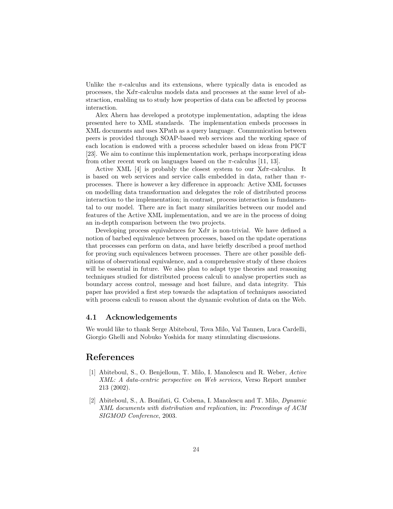Unlike the  $\pi$ -calculus and its extensions, where typically data is encoded as processes, the  $Xd\pi$ -calculus models data and processes at the same level of abstraction, enabling us to study how properties of data can be affected by process interaction.

Alex Ahern has developed a prototype implementation, adapting the ideas presented here to XML standards. The implementation embeds processes in XML documents and uses XPath as a query language. Communication between peers is provided through SOAP-based web services and the working space of each location is endowed with a process scheduler based on ideas from PICT [23]. We aim to continue this implementation work, perhaps incorporating ideas from other recent work on languages based on the  $\pi$ -calculus [11, 13].

Active XML [4] is probably the closest system to our  $Xd\pi$ -calculus. It is based on web services and service calls embedded in data, rather than  $\pi$ processes. There is however a key difference in approach: Active XML focusses on modelling data transformation and delegates the role of distributed process interaction to the implementation; in contrast, process interaction is fundamental to our model. There are in fact many similarities between our model and features of the Active XML implementation, and we are in the process of doing an in-depth comparison between the two projects.

Developing process equivalences for  $X d\pi$  is non-trivial. We have defined a notion of barbed equivalence between processes, based on the update operations that processes can perform on data, and have briefly described a proof method for proving such equivalences between processes. There are other possible definitions of observational equivalence, and a comprehensive study of these choices will be essential in future. We also plan to adapt type theories and reasoning techniques studied for distributed process calculi to analyse properties such as boundary access control, message and host failure, and data integrity. This paper has provided a first step towards the adaptation of techniques associated with process calculi to reason about the dynamic evolution of data on the Web.

## 4.1 Acknowledgements

We would like to thank Serge Abiteboul, Tova Milo, Val Tannen, Luca Cardelli, Giorgio Ghelli and Nobuko Yoshida for many stimulating discussions.

# References

- [1] Abiteboul, S., O. Benjelloun, T. Milo, I. Manolescu and R. Weber, Active XML: A data-centric perspective on Web services, Verso Report number 213 (2002).
- [2] Abiteboul, S., A. Bonifati, G. Cobena, I. Manolescu and T. Milo, Dynamic XML documents with distribution and replication, in: Proceedings of ACM SIGMOD Conference, 2003.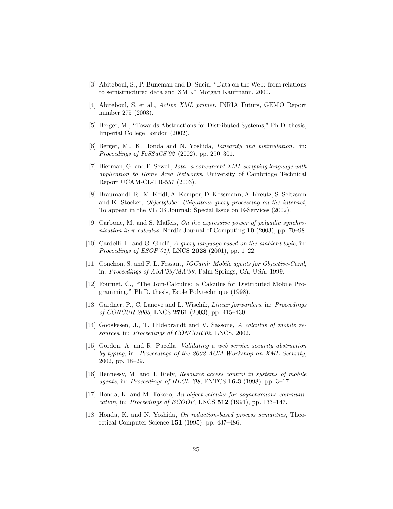- [3] Abiteboul, S., P. Buneman and D. Suciu, "Data on the Web: from relations to semistructured data and XML," Morgan Kaufmann, 2000.
- [4] Abiteboul, S. et al., Active XML primer, INRIA Futurs, GEMO Report number 275 (2003).
- [5] Berger, M., "Towards Abstractions for Distributed Systems," Ph.D. thesis, Imperial College London (2002).
- [6] Berger, M., K. Honda and N. Yoshida, Linearity and bisimulation., in: Proceedings of FoSSaCS'02 (2002), pp. 290–301.
- [7] Bierman, G. and P. Sewell, Iota: a concurrent XML scripting language with application to Home Area Networks, University of Cambridge Technical Report UCAM-CL-TR-557 (2003).
- [8] Braumandl, R., M. Keidl, A. Kemper, D. Kossmann, A. Kreutz, S. Seltzsam and K. Stocker, *Objectglobe: Ubiquitous query processing on the internet*, To appear in the VLDB Journal: Special Issue on E-Services (2002).
- [9] Carbone, M. and S. Maffeis, On the expressive power of polyadic synchronisation in  $\pi$ -calculus, Nordic Journal of Computing 10 (2003), pp. 70–98.
- [10] Cardelli, L. and G. Ghelli, A query language based on the ambient logic, in: Proceedings of ESOP'01), LNCS 2028 (2001), pp. 1–22.
- [11] Conchon, S. and F. L. Fessant, JOCaml: Mobile agents for Objective-Caml, in: Proceedings of ASA'99/MA'99, Palm Springs, CA, USA, 1999.
- [12] Fournet, C., "The Join-Calculus: a Calculus for Distributed Mobile Programming," Ph.D. thesis, Ecole Polytechnique (1998).
- [13] Gardner, P., C. Laneve and L. Wischik, Linear forwarders, in: Proceedings of CONCUR 2003, LNCS 2761 (2003), pp. 415–430.
- [14] Godskesen, J., T. Hildebrandt and V. Sassone, A calculus of mobile resources, in: Proceedings of CONCUR'02, LNCS, 2002.
- [15] Gordon, A. and R. Pucella, Validating a web service security abstraction by typing, in: Proceedings of the 2002 ACM Workshop on XML Security, 2002, pp. 18–29.
- [16] Hennessy, M. and J. Riely, *Resource access control in systems of mobile* agents, in: Proceedings of HLCL '98, ENTCS  $16.3$  (1998), pp. 3-17.
- [17] Honda, K. and M. Tokoro, An object calculus for asynchronous communication, in: Proceedings of ECOOP, LNCS  $512$  (1991), pp. 133-147.
- [18] Honda, K. and N. Yoshida, On reduction-based process semantics, Theoretical Computer Science 151 (1995), pp. 437–486.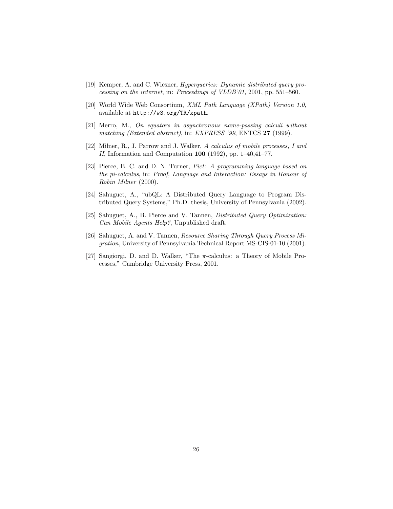- [19] Kemper, A. and C. Wiesner, Hyperqueries: Dynamic distributed query processing on the internet, in: Proceedings of VLDB'01, 2001, pp. 551–560.
- [20] World Wide Web Consortium, XML Path Language (XPath) Version 1.0, available at http://w3.org/TR/xpath.
- [21] Merro, M., On equators in asynchronous name-passing calculi without matching (Extended abstract), in: EXPRESS '99, ENTCS 27 (1999).
- [22] Milner, R., J. Parrow and J. Walker, A calculus of mobile processes, I and II, Information and Computation 100 (1992), pp. 1–40,41–77.
- [23] Pierce, B. C. and D. N. Turner, *Pict: A programming language based on* the pi-calculus, in: Proof, Language and Interaction: Essays in Honour of Robin Milner (2000).
- [24] Sahuguet, A., "ubQL: A Distributed Query Language to Program Distributed Query Systems," Ph.D. thesis, University of Pennsylvania (2002).
- [25] Sahuguet, A., B. Pierce and V. Tannen, *Distributed Query Optimization*: Can Mobile Agents Help?, Unpublished draft.
- [26] Sahuguet, A. and V. Tannen, Resource Sharing Through Query Process Migration, University of Pennsylvania Technical Report MS-CIS-01-10 (2001).
- [27] Sangiorgi, D. and D. Walker, "The  $\pi$ -calculus: a Theory of Mobile Processes," Cambridge University Press, 2001.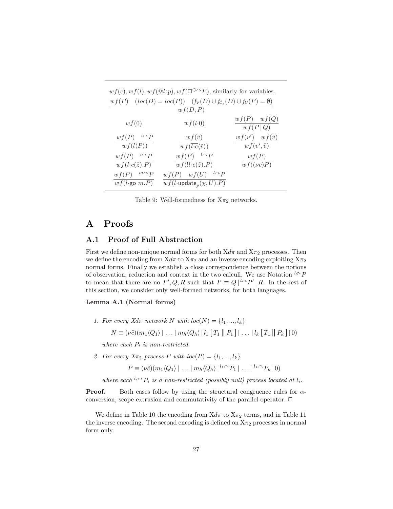|                              | $wf(c), wf(l), wf(\mathbb{Q}l:p), wf(\Box^{\circlearrowleft\circlearrowright}P),$ similarly for variables. |                            |  |
|------------------------------|------------------------------------------------------------------------------------------------------------|----------------------------|--|
| wf(P)                        | $(loc(D) = loc(P))$ $(f_V(D) \cup f_{\mathcal{C}_s}(D) \cup f_V(P) = \emptyset)$                           |                            |  |
|                              | wf(D, P)                                                                                                   |                            |  |
| wf(0)                        | $wf(l \cdot 0)$                                                                                            | $wf(P)$ $wf(Q)$<br>wf(P Q) |  |
| $l \cap P$<br>wf(P)          | $wf(\tilde{v})$                                                                                            | $wf(v')$ $wf(\tilde{v})$   |  |
| $wf(l\langle P\rangle)$      | $wf(\overline{l\cdot c}\langle \tilde{v}\rangle)$                                                          | $wf(v', \tilde{v})$        |  |
| $wf(P)$ $l \cap P$           | $wf(P)$ $l \cap P$                                                                                         | wf(P)                      |  |
| $wf(l \cdot c(\tilde{z}).P)$ | $wf(l \cdot c(\tilde{z}).P)$                                                                               | $wf((\nu c)P)$             |  |
| $wf(P)$ $m \cap P$           | $wf(P)$ $wf(U)$<br>$\iota \sim P$                                                                          |                            |  |
| $wf(l$ ·go $m.P)$            | $wf(l$ ·update <sub>p</sub> $(\chi, U)$ . $P)$                                                             |                            |  |

Table 9: Well-formedness for  $X\pi_2$  networks.

# A Proofs

# A.1 Proof of Full Abstraction

First we define non-unique normal forms for both  $Xd\pi$  and  $X\pi_2$  processes. Then we define the encoding from  $Xd\pi$  to  $X\pi_2$  and an inverse encoding exploiting  $X\pi_2$ normal forms. Finally we establish a close correspondence between the notions of observation, reduction and context in the two calculi. We use Notation  $\frac{l}{\gamma}P$ to mean that there are no  $P', Q, R$  such that  $P \equiv Q \vert^{l \sim} P' \vert R$ . In the rest of this section, we consider only well-formed networks, for both languages.

#### Lemma A.1 (Normal forms)

1. For every  $Xd\pi$  network N with  $loc(N) = \{l_1, ..., l_k\}$ 

$$
N \equiv (\nu \tilde{c})(m_1 \langle Q_1 \rangle | \ldots | m_h \langle Q_h \rangle | l_1 [T_1 || P_1] | \ldots | l_k [T_1 || P_k] | 0)
$$

where each  $P_i$  is non-restricted.

2. For every  $X\pi_2$  process P with  $loc(P) = \{l_1, ..., l_k\}$ 

$$
P \equiv (\nu \tilde{c})(m_1 \langle Q_1 \rangle \mid \dots \mid m_h \langle Q_h \rangle \mid ^{l_1 \frown} P_1 \mid \dots \mid ^{l_k \frown} P_h \mid 0)
$$

where each  ${}^{l_i \frown}P_i$  is a non-restricted (possibly null) process located at  $l_i$ .

**Proof.** Both cases follow by using the structural congruence rules for  $\alpha$ conversion, scope extrusion and commutativity of the parallel operator.  $\Box$ 

We define in Table 10 the encoding from  $Xd\pi$  to  $X\pi_2$  terms, and in Table 11 the inverse encoding. The second encoding is defined on  $X_{\pi_2}$  processes in normal form only.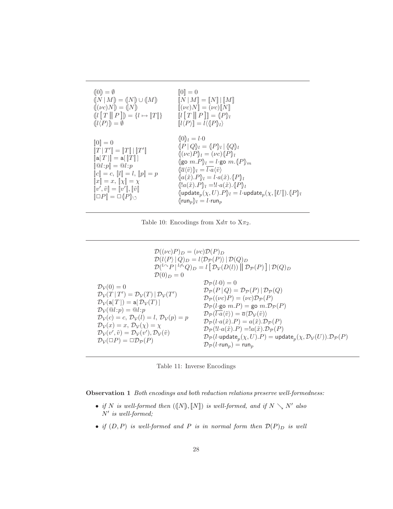| $(0) = \emptyset$                                                                                                                                                                                                                                                                                            | $  0   = 0$                                                                                                                                                                                                                                                                                                                                                                                                                                                                                                                                                                                                                                                                                                                                              |
|--------------------------------------------------------------------------------------------------------------------------------------------------------------------------------------------------------------------------------------------------------------------------------------------------------------|----------------------------------------------------------------------------------------------------------------------------------------------------------------------------------------------------------------------------------------------------------------------------------------------------------------------------------------------------------------------------------------------------------------------------------------------------------------------------------------------------------------------------------------------------------------------------------------------------------------------------------------------------------------------------------------------------------------------------------------------------------|
| $(N M] = (N) \cup (M)$                                                                                                                                                                                                                                                                                       | $\llbracket N \,   \, M \rrbracket = \llbracket N \rrbracket \,   \, \llbracket M \rrbracket$                                                                                                                                                                                                                                                                                                                                                                                                                                                                                                                                                                                                                                                            |
| $(\lbrack (\nu c)N \rbrack) = (\lbrack N \rbrack)$                                                                                                                                                                                                                                                           | $[(\nu c)N] = (\nu c)[N]$                                                                                                                                                                                                                                                                                                                                                                                                                                                                                                                                                                                                                                                                                                                                |
| $( [l [ T    P ]] ) = \{ l \mapsto [T] \}$                                                                                                                                                                                                                                                                   | $\llbracket l\left[\left[T\right]\right]\right]P\rrbracket = \langle P\rangle_l$                                                                                                                                                                                                                                                                                                                                                                                                                                                                                                                                                                                                                                                                         |
| $( [l \langle P \rangle ] ) = \emptyset$                                                                                                                                                                                                                                                                     | $\llbracket l \langle P \rangle \rrbracket = l \langle \langle P \rangle_l \rangle$                                                                                                                                                                                                                                                                                                                                                                                                                                                                                                                                                                                                                                                                      |
| $\ 0\  = 0$<br>$  T  T'   =   T     T'  $<br>$  a T   = a  T  $<br>$\llbracket \mathbb{Q}l : p \rrbracket = \mathbb{Q}l : p$<br>$  c   = c,   l   = l,   p   = p$<br>$  x   = x,   \chi   = \chi$<br>$\ v', \tilde{v}\  = \ v'\ , \ \tilde{v}\ $<br>$\ \Box P\  = \Box \langle P \rangle_{\circlearrowleft}$ | $\langle 0 \rangle_l = l \cdot 0$<br>$\{P \mid Q\}_l = \{P\}_l \mid \{Q\}_l$<br>$\langle (\nu c)P \rangle_l = (\nu c) \langle P \rangle_l$<br>$\langle \text{go }m.P \rangle_l = l \cdot \text{go }m.\langle \{P\}\rangle_m$<br>$\langle \langle \overline{a} \langle \tilde{v} \rangle \rangle_l = l \cdot a \langle \tilde{v} \rangle$<br>$\langle a(\tilde{x}).P \rangle_l = l \cdot a(\tilde{x}).\langle P \rangle_l$<br>$\langle [a(\tilde{x}).P]_l = [l \cdot a(\tilde{x}).\langle P]_l \rangle$<br>$\langle \text{update}_p(\chi, U).P \rangle_l = l \cdot \text{update}_p(\chi, \llbracket U \rrbracket). \langle \llbracket P \rrbracket_l$<br>$\langle \nabla \mathbf{u} \cdot \mathbf{n}_p \rangle_l = l \cdot \mathbf{v} \cdot \mathbf{n}_p$ |



 $\mathcal{D}((\nu c)P)_D = (\nu c)\mathcal{D}(P)_D$  $\mathcal{D}(l\langle P\rangle | Q)_D = l\langle \mathcal{D}_{\mathcal{P}}(P)\rangle | \mathcal{D}(Q)_D$  $\mathcal{D}(^{l\curvearrowright}P\mid^{l\ncurvearrowright}Q)_{D} = l\big[\mathcal{D}_{\mathcal{V}}(D(l))\big|\big|\mathcal{D}_{\mathcal{P}}(P)\big]\,|\mathcal{D}(Q)_{D}$  $\mathcal{D}(0)_D = 0$  $\mathcal{D}_{\mathcal{V}}(0)=0$  $\mathcal{D}_{\mathcal{V}}(T | T') = \mathcal{D}_{\mathcal{V}}(T) | \mathcal{D}_{\mathcal{V}}(T')$  $\mathcal{D}_{\mathcal{V}}(\mathsf{a}[T]) = \mathsf{a}[\mathcal{D}_{\mathcal{V}}(T)]$  $\mathcal{D}_{\mathcal{V}}(\mathbb{Q}l:p) = \mathbb{Q}l:p$  $\mathcal{D}_{\mathcal{V}}(c) = c, \mathcal{D}_{\mathcal{V}}(l) = l, \mathcal{D}_{\mathcal{V}}(p) = p$  $\mathcal{D}_{\mathcal{V}}(x) = x, \mathcal{D}_{\mathcal{V}}(\chi) = \chi$  $\mathcal{D}_{\mathcal{V}}(v',\tilde{v})=\mathcal{D}_{\mathcal{V}}(v'),\mathcal{D}_{\mathcal{V}}(\tilde{v})$  $\mathcal{D}_{\mathcal{V}}(\Box P) = \Box \mathcal{D}_{\mathcal{P}}(P)$  $\mathcal{D}_{\mathcal{P}}(l\cdot 0)=0$  $\mathcal{D}_{\mathcal{P}}(P | Q) = \mathcal{D}_{\mathcal{P}}(P) | \mathcal{D}_{\mathcal{P}}(Q)$  $\mathcal{D}_{\mathcal{P}}((\nu c)P) = (\nu c)\mathcal{D}_{\mathcal{P}}(P)$  $\mathcal{D}_{\mathcal{P}}(l\text{-go }m.P) = \text{go }m.\mathcal{D}_{\mathcal{P}}(P)$  $\mathcal{D}_{\mathcal{P}}(\overline{l \cdot a}\langle \tilde{v} \rangle) = \overline{a}\langle \mathcal{D}_{\mathcal{V}}(\tilde{v}) \rangle$  $\mathcal{D}_{\mathcal{P}}(l \cdot a(\tilde{x}).P) = a(\tilde{x}).\mathcal{D}_{\mathcal{P}}(P)$  $\mathcal{D}_{\mathcal{P}}(!l \cdot a(\tilde{x}).P) = !a(\tilde{x}).\mathcal{D}_{\mathcal{P}}(P)$  $\mathcal{D}_{\mathcal{P}}(l\text{-update}_p(\chi,U).P) = \mathsf{update}_p(\chi,\mathcal{D}_{\mathcal{V}}(U)).\mathcal{D}_{\mathcal{P}}(P)$  $\mathcal{D}_{\mathcal{P}}(l\cdot \mathsf{run}_p) = \mathsf{run}_p$ 

Table 11: Inverse Encodings

Observation 1 Both encodings and both reduction relations preserve well-formedness:

- if N is well-formed then  $([N], [N])$  is well-formed, and if  $N \searrow N'$  also  $N'$  is well-formed;
- if  $(D, P)$  is well-formed and P is in normal form then  $\mathcal{D}(P)_D$  is well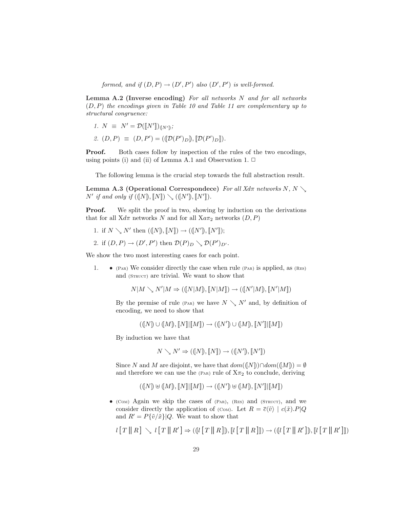formed, and if  $(D, P) \rightarrow (D', P')$  also  $(D', P')$  is well-formed.

Lemma A.2 (Inverse encoding) For all networks  $N$  and for all networks  $(D, P)$  the encodings given in Table 10 and Table 11 are complementary up to structural congruence:

$$
1. N \equiv N' = \mathcal{D}([\![N']\!])_{([\![N']\!])};
$$

2.  $(D, P) \equiv (D, P') = (\llbracket \mathcal{D}(P')_D \rrbracket, \llbracket \mathcal{D}(P')_D \rrbracket).$ 

**Proof.** Both cases follow by inspection of the rules of the two encodings, using points (i) and (ii) of Lemma A.1 and Observation 1.  $\Box$ 

The following lemma is the crucial step towards the full abstraction result.

Lemma A.3 (Operational Correspondece) For all  $Xd\pi$  networks N, N N' if and only if  $((\llbracket N \rrbracket, \llbracket N \rrbracket) \searrow ((\llbracket N' \rrbracket, \llbracket N'' \rrbracket).$ 

**Proof.** We split the proof in two, showing by induction on the derivations that for all  $Xd\pi$  networks N and for all  $Xa\pi_2$  networks  $(D, P)$ 

- 1. if  $N \setminus N'$  then  $((\llbracket N \rrbracket), \llbracket N \rrbracket) \rightarrow ((\llbracket N' \rrbracket), \llbracket N'' \rrbracket);$
- 2. if  $(D, P) \rightarrow (D', P')$  then  $\mathcal{D}(P)_{D} \searrow \mathcal{D}(P')_{D'}$ .

We show the two most interesting cases for each point.

1. • (PAR) We consider directly the case when rule (PAR) is applied, as (RES) and (STRUCT) are trivial. We want to show that

 $N|M \setminus N'|M \Rightarrow (\llbracket N|M \rrbracket, \llbracket N|M \rrbracket) \rightarrow (\llbracket N'|M \rrbracket, \llbracket N'|M \rrbracket)$ 

By the premise of rule (PAR) we have  $N \searrow N'$  and, by definition of encoding, we need to show that

 $(([N] \cup ([M]), [N] \mid [M]) \rightarrow (([N']) \cup ([M]), [N'] \mid [M])$ 

By induction we have that

$$
N \searrow N' \Rightarrow (\llbracket N \rrbracket, \llbracket N \rrbracket) \rightarrow (\llbracket N' \rrbracket, \llbracket N' \rrbracket)
$$

Since N and M are disjoint, we have that  $dom([N]) \cap dom([M]) = \emptyset$ and therefore we can use the (PAR) rule of  $X_{\pi_2}$  to conclude, deriving

$$
([\![N]\!] \uplus ([\![M]\!], [\![N]\!] | [\![M]\!]) \to ([\![N']\!] \uplus ([\![M]\!], [\![N']\!] | [\![M]\!])
$$

• (Com) Again we skip the cases of (Par), (Res) and (Struct), and we consider directly the application of (COM). Let  $R = \overline{c}\langle \tilde{v} \rangle | c(\tilde{x}) P |Q$ and  $R' = P\{\tilde{v}/\tilde{x}\}|Q$ . We want to show that

$$
l[T || R] \searrow l[T || R'] \Rightarrow (ll[T || R]), [l[T || R]]) \rightarrow (ll[T || R'], [l[T || R']])
$$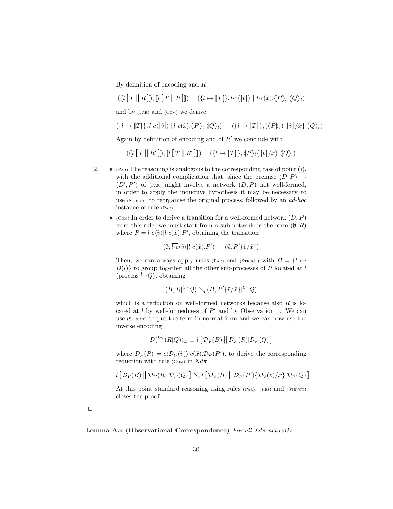By definition of encoding and R

$$
(\llbracket l\left[\,T\,\right]\!\mid\!\mid R\,\rrbracket),\llbracket l\left[\,T\,\right]\!\mid\!\mid R\,\rrbracket\rrbracket)=(\{l\mapsto\,\llbracket T\rrbracket\},\overline{l\cdot c}\langle\llbracket\tilde{v}\rrbracket\rangle\mid l\cdot c(\tilde{x}).\langle\!\mid\!P\!\!\mid\!\rangle_l\vert\langle\!\mid\!\langle Q\rangle\!\!\mid_l)
$$

and by (Par) and (Com) we derive

$$
(\{l \mapsto \|T\|\}, l \cdot c \langle \|\tilde{v}\|\rangle \mid l \cdot c(\tilde{x}).\langle P\rangle_l |\langle Q\rangle_l\rangle \rightarrow (\{l \mapsto \|T\|\}, (\langle P\rangle_l) \{\|\tilde{v}\|/\tilde{x}\} \mid \langle Q\rangle_l)
$$

Again by definition of encoding and of  $R'$  we conclude with

$$
([\![l\left[\,T\,\big\|\,R'\,\right]\!]),[\![l\left[\,T\,\big\|\,R'\,\right]\!]\!])=(\{l\mapsto\|T\|\},\langle\!\!\left\{P\right\}\!_l\{\|\tilde{v}\|/\tilde{x}\}|\langle\!\!\left\{Q\right\}\!_l)
$$

- 2.  $\bullet$  (PAR) The reasoning is analogous to the corresponding case of point (i), with the additional complication that, since the premise  $(D, P) \rightarrow$  $(D', P')$  of (PAR) might involve a network  $(D, P)$  not well-formed, in order to apply the inductive hypothesis it may be necessary to use (STRUCT) to reorganise the original process, followed by an  $ad-hoc$ instance of rule (Par).
	- (Com) In order to derive a transition for a well-formed network  $(D, P)$ from this rule, we must start from a sub-network of the form  $(\emptyset, R)$ where  $R = \overline{l \cdot c} \langle \tilde{v} \rangle |l \cdot c(\tilde{x}).P'$ , obtaining the transition

$$
(\emptyset, \overline{l \cdot c} \langle \tilde{v} \rangle | l \cdot c(\tilde{x}).P') \rightarrow (\emptyset, P' \{ \tilde{v}/\tilde{x} \})
$$

Then, we can always apply rules (PAR) and (STRUCT) with  $B = \{l \mapsto$  $D(l)$  to group together all the other sub-processes of P located at l (process  $\sqrt{l}Q$ ), obtaining

$$
(B,R|^{l\wedge}Q)\setminus (B,P'\{\tilde{v}/\tilde{x}\}|^{l\wedge}Q)
$$

which is a reduction on well-formed networks because also  $R$  is located at  $l$  by well-formedness of  $P'$  and by Observation 1. We can use (Struct) to put the term in normal form and we can now use the inverse encoding

$$
\mathcal{D}(^{l} \cap (R|Q))_B \equiv l \left[ \mathcal{D}_{\mathcal{V}}(B) \right] \left[ \mathcal{D}_{\mathcal{P}}(R) \right] \mathcal{D}_{\mathcal{P}}(Q) \right]
$$

where  $\mathcal{D}_{\mathcal{P}}(R) = \overline{c} \langle \mathcal{D}_{\mathcal{V}}(\tilde{v}) \rangle | c(\tilde{x}).\mathcal{D}_{\mathcal{P}}(P')$ , to derive the corresponding reduction with rule (COM) in  $\mathbf{X}d\pi$ 

$$
l\left[\mathcal{D}_{\mathcal{V}}(B)\,\middle\|\,\mathcal{D}_{\mathcal{P}}(R)|\mathcal{D}_{\mathcal{P}}(Q)\,\right]\searrow l\left[\mathcal{D}_{\mathcal{V}}(B)\,\middle\|\,\mathcal{D}_{\mathcal{P}}(P')\{\mathcal{D}_{\mathcal{V}}(\tilde{v})/\tilde{x}\}|\mathcal{D}_{\mathcal{P}}(Q)\,\right]
$$

At this point standard reasoning using rules (PAR), (RES) and (STRUCT) closes the proof.

 $\Box$ 

Lemma A.4 (Observational Correspondence) For all  $Xd\pi$  networks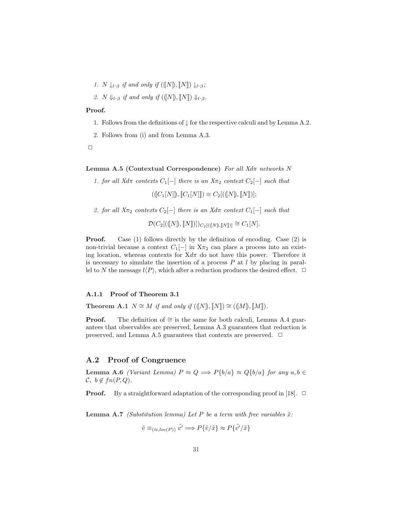1. N  $\downarrow_{l \cdot \beta}$  if and only if  $(\llbracket N \rrbracket, \llbracket N \rrbracket) \downarrow_{l \cdot \beta}$ ;

2. N  $\Downarrow_{l \cdot \beta}$  if and only if  $((N), [N]) \Downarrow_{l \cdot \beta}$ .

#### Proof.

1. Follows from the definitions of  $\downarrow$  for the respective calculi and by Lemma A.2.

2. Follows from (i) and from Lemma A.3.

 $\Box$ 

Lemma A.5 (Contextual Correspondence) For all  $Xd\pi$  networks N

1. for all  $Xd\pi$  contexts  $C_1[-]$  there is an  $X\pi_2$  context  $C_2[-]$  such that

 $(([C_1[N]), [C_1[N]]]) \equiv C_2[((N], [N]])$ ;

2. for all  $X\pi_2$  contexts  $C_2[-]$  there is an  $Xd\pi$  context  $C_1[-]$  such that

 $\mathcal{D}(C_2[(\llbracket N \rrbracket, \llbracket N \rrbracket \rrbracket)|)_{C_2[(\llbracket N \rrbracket, \llbracket N \rrbracket)]} \cong C_1[N].$ 

**Proof.** Case (1) follows directly by the definition of encoding. Case (2) is non-trivial because a context  $C_1[-]$  in  $X_{\pi_2}$  can place a process into an existing location, whereas contexts for  $X d\pi$  do not have this power. Therefore it is necessary to simulate the insertion of a process  $P$  at l by placing in parallel to N the message  $l\langle P\rangle$ , which after a reduction produces the desired effect.  $\Box$ 

#### A.1.1 Proof of Theorem 3.1

**Theorem A.1**  $N \cong M$  if and only if  $((N), [N]) \cong ((M), [M])$ .

Proof. The definition of ≅ is the same for both calculi, Lemma A.4 guarantees that observables are preserved, Lemma A.3 guarantees that reduction is preserved, and Lemma A.5 guarantees that contexts are preserved.  $\Box$ 

# A.2 Proof of Congruence

Lemma A.6 (Variant Lemma)  $P \approx Q \Longrightarrow P{b/a} \approx Q{b/a}$  for any  $a, b \in Q$  $\mathcal{C}, \; b \notin fn(P,Q).$ 

**Proof.** By a straightforward adaptation of the corresponding proof in [18].  $\Box$ 

**Lemma A.7** (Substitution lemma) Let P be a term with free variables  $\tilde{x}$ :

$$
\tilde{v} \equiv_{(\approx,loc(P))} \tilde{v}' \Longrightarrow P\{\tilde{v}/\tilde{x}\} \approx P\{\tilde{v}'/\tilde{x}\}
$$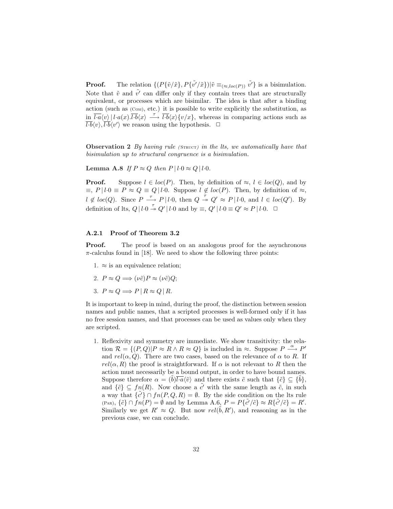**Proof.** The relation  $\{ (P\{\tilde{v}/\tilde{x}\}, P\{\tilde{v}'/\tilde{x}\})|\tilde{v} \equiv_{(\approx,loc(P))} \tilde{v}' \}$  is a bisimulation. Note that  $\tilde{v}$  and  $\tilde{v}'$  can differ only if they contain trees that are structurally equivalent, or processes which are bisimilar. The idea is that after a binding action (such as (Com), etc.) it is possible to write explicitly the substitution, as in  $\overline{l \cdot a \langle v \rangle} | l \cdot a(x) \overline{l \cdot b \langle x \rangle} \stackrel{\tau}{\longrightarrow} \overline{l \cdot b \langle x \rangle} \{v/x\}$ , whereas in comparing actions such as  $\overline{l \cdot b} \langle v \rangle$ ,  $\overline{l \cdot b} \langle v' \rangle$  we reason using the hypothesis.  $\Box$ 

**Observation 2** By having rule ( $S$ TRUCT) in the lts, we automatically have that bisimulation up to structural congruence is a bisimulation.

Lemma A.8 If  $P \approx Q$  then  $P | l \cdot 0 \approx Q | l \cdot 0$ .

**Proof.** Suppose  $l \in loc(P)$ . Then, by definition of  $\approx$ ,  $l \in loc(Q)$ , and by  $\equiv$ ,  $P | l \cdot 0 \equiv P \approx Q \equiv Q | l \cdot 0$ . Suppose  $l \notin loc(P)$ . Then, by definition of  $\approx$ ,  $l \notin loc(Q)$ . Since  $P \stackrel{\tau}{\longrightarrow} P \mid l \cdot 0$ , then  $Q \stackrel{\tau}{\rightarrow} Q' \approx P \mid l \cdot 0$ , and  $l \in loc(Q')$ . By definition of lts,  $Q \mid l \cdot 0 \stackrel{\tau}{\rightarrow} Q' \mid l \cdot 0$  and by  $\equiv$ ,  $Q' \mid l \cdot 0 \equiv Q' \approx P \mid l \cdot 0$ .  $\Box$ 

# A.2.1 Proof of Theorem 3.2

**Proof.** The proof is based on an analogous proof for the asynchronous  $\pi$ -calculus found in [18]. We need to show the following three points:

- 1.  $\approx$  is an equivalence relation;
- 2.  $P \approx Q \Longrightarrow (\nu \tilde{c})P \approx (\nu \tilde{c})Q;$
- 3.  $P \approx Q \Longrightarrow P | R \approx Q | R$ .

It is important to keep in mind, during the proof, the distinction between session names and public names, that a scripted processes is well-formed only if it has no free session names, and that processes can be used as values only when they are scripted.

1. Reflexivity and symmetry are immediate. We show transitivity: the relation  $\mathcal{R} = \{(P,Q)|P \approx R \wedge R \approx Q\}$  is included in  $\approx$ . Suppose  $P \stackrel{\alpha}{\longrightarrow} P'$ and  $rel(\alpha, Q)$ . There are two cases, based on the relevance of  $\alpha$  to R. If  $rel(\alpha, R)$  the proof is straightforward. If  $\alpha$  is not relevant to R then the action must necessarily be a bound output, in order to have bound names. Suppose therefore  $\alpha = (b) \ell \cdot a \langle \tilde{v} \rangle$  and there exists  $\tilde{c}$  such that  $\{ \tilde{c} \} \subset \{b\},\$ and  $\{\tilde{c}\}\subseteq fn(R)$ . Now choose a  $\tilde{c'}$  with the same length as  $\tilde{c}$ , in such a way that  $\{c'\}\cap fn(P,Q,R) = \emptyset$ . By the side condition on the lts rule  $(P_{AR})$ ,  $\{\tilde{c}\} \cap \tilde{f}n(P) = \emptyset$  and by Lemma A.6,  $P = P\{\tilde{c'}/\tilde{c}\} \approx R\{\tilde{c'}/\tilde{c}\} = R'.$ Similarly we get  $R' \approx Q$ . But now  $rel(\tilde{b}, R')$ , and reasoning as in the previous case, we can conclude.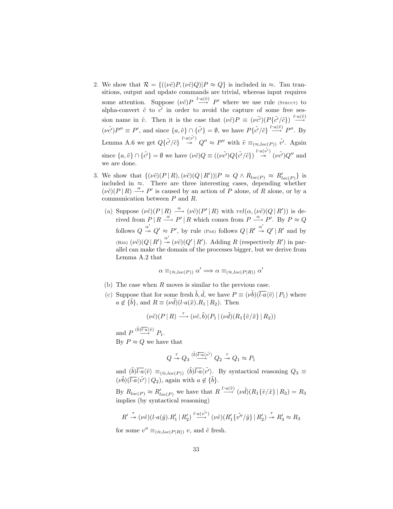- 2. We show that  $\mathcal{R} = \{((\nu \tilde{c})P, (\nu \tilde{c})Q)|P \approx Q\}$  is included in  $\approx$ . Tau transitions, output and update commands are trivial, whereas input requires some attention. Suppose  $(\nu \tilde{c})P \stackrel{l-a(\tilde{v})}{\longrightarrow} P'$  where we use rule (STRUCT) to alpha-convert  $\tilde{c}$  to  $\tilde{c'}$  in order to avoid the capture of some free session name in  $\tilde{v}$ . Then it is the case that  $(\nu \tilde{c})P \equiv (\nu \tilde{c}')(P\{\tilde{c}'/\tilde{c}\}) \stackrel{l \cdot a(\tilde{v})}{\longrightarrow}$  $(\nu \tilde{c}')P'' \equiv P'$ , and since  $\{a, \tilde{v}\} \cap {\tilde{c}'} = \emptyset$ , we have  $P{\tilde{c}'/\tilde{c}}' \stackrel{\text{i} \to \alpha(\tilde{v})}{\longrightarrow} P''$ . By Lemma A.6 we get  $Q\{\tilde{c}'/\tilde{c}\}\stackrel{l \cdot a(\tilde{v}')} {\rightarrow} Q'' \approx P''$  with  $\tilde{v} \equiv_{(\approx, loc(P))} \tilde{v}'$ . Again since  $\{a, \tilde{v}\}\cap {\tilde{c'}} = \emptyset$  we have  $(\nu \tilde{c})Q \equiv ((\nu \tilde{c'})Q{\{\tilde{c'}}/\tilde{c}})^{\ell \to \alpha(\tilde{v'})} (\nu \tilde{c'})Q''$  and we are done.
- 3. We show that  $\{(\nu \tilde{c})(P | R), (\nu \tilde{c})(Q | R')) | P \approx Q \wedge R_{loc(P)} \approx R'_{loc(P)}\}$  is included in ≈. There are three interesting cases, depending whether  $(\nu \tilde{c})$  $(P | R) \stackrel{\alpha}{\longrightarrow} P'$  is caused by an action of P alone, of R alone, or by a communication between P and R.
	- (a) Suppose  $(\nu \tilde{c})(P | R) \stackrel{\alpha}{\longrightarrow} (\nu \tilde{c})(P' | R)$  with  $rel(\alpha, (\nu \tilde{c})(Q | R'))$  is derived from  $P | R \stackrel{\alpha}{\longrightarrow} P' | R$  which comes from  $P \stackrel{\alpha}{\longrightarrow} P'$ . By  $P \approx Q$ follows  $Q \stackrel{\alpha'}{\rightarrow} Q' \approx P'$ , by rule (PAR) follows  $Q | R' \stackrel{\alpha'}{\rightarrow} Q' | R'$  and by (RES)  $(\nu \tilde{c})(Q | R') \stackrel{\alpha'}{\rightarrow} (\nu \tilde{c})(Q' | R')$ . Adding R (respectively R') in parallel can make the domain of the processes bigger, but we derive from Lemma A.2 that

$$
\alpha \equiv_{(\approx,loc(P))} \alpha' \Longrightarrow \alpha \equiv_{(\approx,loc(P|R))} \alpha'
$$

- (b) The case when  $R$  moves is similar to the previous case.
- (c) Suppose that for some fresh  $\tilde{b}$ ,  $\tilde{d}$ , we have  $P \equiv (\nu \tilde{b})(\overline{l \cdot a} \langle \tilde{v} \rangle | P_1)$  where  $a \notin {\tilde{b}}$ , and  $R \equiv (\nu \tilde{d})(l \cdot a(\tilde{x}) \cdot R_1 \mid R_2)$ . Then

$$
(\nu \tilde{c})(P | R) \stackrel{\tau}{\longrightarrow} (\nu \tilde{c}, \tilde{b})(P_1 | (\nu \tilde{d})(R_1 {\{\tilde{v}/\tilde{x}\} | R_2))
$$

and  $P \stackrel{\left(\tilde{b}\right)\overline{l\cdot a}\left\langle\tilde{v}\right\rangle}{\longrightarrow} P_1.$ By  $P \approx Q$  we have that

$$
Q \stackrel{\tau}{\twoheadrightarrow} Q_3 \stackrel{\langle \tilde{b} \rangle \overline{l \cdot a} \langle \tilde{v'} \rangle}{\longrightarrow} Q_2 \stackrel{\tau}{\twoheadrightarrow} Q_1 \approx P_1
$$

and  $(\tilde{b})\overline{l\cdot a}\langle\tilde{v}\rangle \equiv_{(\tilde{\infty},loc(P))} (\tilde{b})\overline{l\cdot a}\langle\tilde{v}'\rangle$ . By syntactical reasoning  $Q_3 \equiv$  $(\nu \tilde{b})(\overline{l \cdot a} \langle \tilde{v'} \rangle | Q_2)$ , again with  $a \notin {\tilde{b}}$ .

By  $R_{loc(P)} \approx R'_{loc(P)}$  we have that  $R \stackrel{l \cdot a(\tilde{v})}{\longrightarrow} (\nu \tilde{d})(R_1\{\tilde{v}/\tilde{x}\} | R_2) = R_3$ implies (by syntactical reasoning)

$$
R' \stackrel{\tau}{\twoheadrightarrow} (\nu \tilde{e}) (l \cdot a(\tilde{y}).R'_1 \mid R'_2) \stackrel{l \cdot a(\tilde{v''})}{\longrightarrow} (\nu \tilde{e}) (R'_1 \{\tilde{v''}/\tilde{y}\} \mid R'_2) \stackrel{\tau}{\twoheadrightarrow} R'_3 \approx R_3
$$

for some  $v'' \equiv_{(\approx, loc(P|R))} v$ , and  $\tilde{e}$  fresh.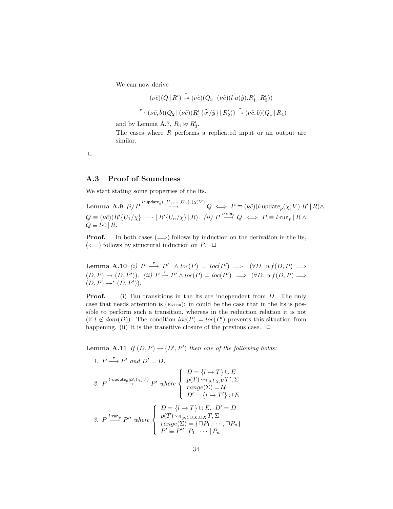We can now derive

$$
(\nu \tilde{c})(Q | R') \stackrel{\tau}{\rightarrow} (\nu \tilde{c})(Q_3 | (\nu \tilde{e})(l \cdot a(\tilde{y}).R'_1 | R'_2))
$$
  

$$
\stackrel{\tau}{\longrightarrow} (\nu \tilde{c}, \tilde{b})(Q_2 | (\nu \tilde{e})(R'_1 {\{\tilde{v}'/\tilde{y}\} | R'_2)) \stackrel{\tau}{\rightarrow} (\nu \tilde{c}, \tilde{b})(Q_1 | R_4)
$$

and by Lemma A.7,  $R_4 \approx R'_3$ .

The cases where R performs a replicated input or an output are similar.

 $\Box$ 

# A.3 Proof of Soundness

We start stating some properties of the lts.

Lemma A.9  $(i) P \stackrel{l\text{-update}_p(\{U_1, \cdots, U_n\},(\chi)V)}{\longrightarrow} Q \iff P \equiv (\nu \tilde{c})(l\text{-update}_p(\chi,V).R' \,|\, R) \wedge$  $Q \equiv (\nu \tilde{c}) (R' \{U_1/\chi\} \vert \cdots \vert R' \{U_n/\chi\} \vert \, R).$  (ii)  $P \stackrel{l\text{-run}_p}{\longrightarrow} Q \iff P \equiv l\text{-run}_p \vert \, R \land$  $Q \equiv l \cdot 0 \mid R$ .

**Proof.** In both cases  $(\Longrightarrow)$  follows by induction on the derivation in the lts,  $(\Leftarrow)$  follows by structural induction on P.  $\Box$ 

Lemma A.10 (i)  $P \stackrel{\tau}{\longrightarrow} P' \land loc(P) = loc(P') \implies (\forall D. w f(D, P) \implies$  $(D, P) \rightarrow (D, P')$ ). (ii)  $P \stackrel{\tau}{\rightarrow} P' \wedge loc(P) = loc(P') \implies (\forall D. w f(D, P) \Longrightarrow$  $(D, P) \rightarrow^* (D, P').$ 

**Proof.** (i) Tau transitions in the lts are independent from D. The only case that needs attention is (ENTER): in could be the case that in the lts is possible to perform such a transition, whereas in the reduction relation it is not (if  $l \notin dom(D)$ ). The condition  $loc(P) = loc(P')$  prevents this situation from happening. (ii) It is the transitive closure of the previous case.  $\Box$ 

**Lemma A.11** If  $(D, P) \rightarrow (D', P')$  then one of the following holds:

1.  $P \stackrel{\tau}{\longrightarrow} P'$  and  $D' = D$ . 2.  $P \stackrel{l\text{-update}_p(\mathcal{U}, (\chi)V)}{\longrightarrow} P'$  where  $\overline{a}$  $\int$  $\mathcal{L}$  $D = \{l \mapsto T\} \cup E$  $p(T) \rightsquigarrow_{p,l,\chi,V} T', \Sigma$  $range(\Sigma) = U$  $D' = \{l \mapsto T'\} \uplus E$ 3.  $P \stackrel{l\text{-run}_p}{\longrightarrow} P''$  where  $\overline{a}$  $\sqrt{ }$  $\mathcal{L}$  $D = \{l \mapsto T\} \uplus E, D' = D$  $p(T) \rightsquigarrow_{p,l,\Box X,\Box X} T, \Sigma$  $range(\Sigma) = {\square P_1, \cdots, \square P_n}$  $P' \equiv P'' | P_1 | \cdots | P_n$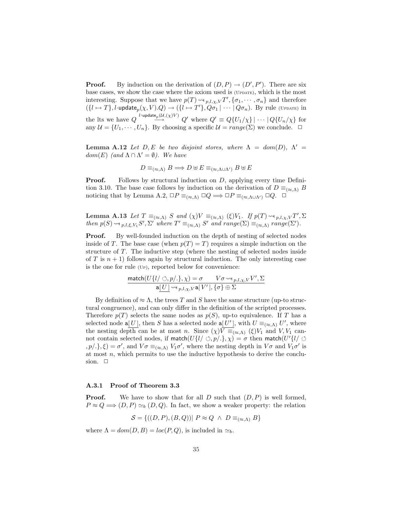**Proof.** By induction on the derivation of  $(D, P) \rightarrow (D', P')$ . There are six base cases, we show the case where the axiom used is (UPDATE), which is the most interesting. Suppose that we have  $p(T) \rightsquigarrow_{p,l,\chi,V} T', {\sigma_1, \cdots, \sigma_n}$  and therefore  $({l \mapsto T}, l \cdot \text{update}_p(\chi, V).Q) \rightarrow ({l \mapsto T'}, Q\sigma_1 \mid \cdots \mid Q\sigma_n)$ . By rule (UPDATE) in the lts we have  $Q \stackrel{l \text{-} update_p(\mathcal{U}, (\chi)V)}{\longrightarrow} Q'$  where  $Q' \equiv Q\{U_1/\chi\} \cdot \cdot \cdot \cdot |Q\{U_n/\chi\}$  for any  $\mathcal{U} = \{U_1, \dots, U_n\}$ . By choosing a specific  $\mathcal{U} = range(\Sigma)$  we conclude.  $\Box$ 

Lemma A.12 Let  $D, E$  be two disjoint stores, where  $\Lambda = dom(D), \Lambda' =$  $dom(E)$  (and  $\Lambda \cap \Lambda' = \emptyset$ ). We have

$$
D \equiv_{(\approx,\Lambda)} B \Longrightarrow D \uplus E \equiv_{(\approx,\Lambda \cup \Lambda')} B \uplus E
$$

**Proof.** Follows by structural induction on D, applying every time Definition 3.10. The base case follows by induction on the derivation of  $D \equiv_{(\approx,\Lambda)} B$ noticing that by Lemma A.2,  $\Box P \equiv_{(\approx,\Lambda)} \Box Q \Longrightarrow \Box P \equiv_{(\approx,\Lambda\cup\Lambda')} \Box Q$ .  $\Box$ 

**Lemma A.13** Let  $T \equiv_{(\approx,\Lambda)} S$  and  $(\chi)V \equiv_{(\approx,\Lambda)} (\xi)V_1$ . If  $p(T) \rightsquigarrow_{p,l,\chi,V} T', \Sigma$ then  $p(S) \rightsquigarrow_{p,l,\xi,V_1} S', \Sigma'$  where  $T' \equiv_{(\approx,\Lambda)} S'$  and range $(\Sigma) \equiv_{(\approx,\Lambda)} range(\Sigma').$ 

**Proof.** By well-founded induction on the depth of nesting of selected nodes inside of T. The base case (when  $p(T) = T$ ) requires a simple induction on the structure of T. The inductive step (where the nesting of selected nodes inside of T is  $n+1$ ) follows again by structural induction. The only interesting case is the one for rule (Up), reported below for convenience:

$$
\frac{\text{match}(U\{l/\bigcirc p/\cdot\}, \chi) = \sigma \qquad V\sigma \leadsto_{p,l,\chi,V} V', \Sigma}{\mathbf{a}[U] \leadsto_{p,l,\chi,V} \mathbf{a}[V'], \{\sigma\} \oplus \Sigma}
$$

By definition of  $\approx \Lambda$ , the trees T and S have the same structure (up-to structural congruence), and can only differ in the definition of the scripted processes. Therefore  $p(T)$  selects the same nodes as  $p(S)$ , up-to equivalence. If T has a selected node  $a[U]$ , then S has a selected node  $a[U']$ , with  $U \equiv_{(\approx,\Lambda)} U'$ , where the nesting depth can be at most n. Since  $(\chi)V \equiv_{(\approx,\Lambda)} (\xi)V_1$  and  $V, V_1$  cannot contain selected nodes, if match $(U\{l/\Diamond, p/\}$ ,  $\chi) = \sigma$  then match $(U'\{l/\Diamond\}$  $(p_1, p_2), \xi$  =  $\sigma'$ , and  $V\sigma \equiv_{(\approx, \Lambda)} V_1 \sigma'$ , where the nesting depth in  $V\sigma$  and  $V_1 \sigma'$  is at most  $n$ , which permits to use the inductive hypothesis to derive the conclusion.  $\Box$ 

#### A.3.1 Proof of Theorem 3.3

**Proof.** We have to show that for all  $D$  such that  $(D, P)$  is well formed,  $P \approx Q \Longrightarrow (D, P) \simeq_b (D, Q)$ . In fact, we show a weaker property: the relation

$$
\mathcal{S} = \{ ((D, P), (B, Q)) | P \approx Q \land D \equiv_{(\approx, \Lambda)} B \}
$$

where  $\Lambda = dom(D, B) = loc(P, Q)$ , is included in  $\simeq_b$ .